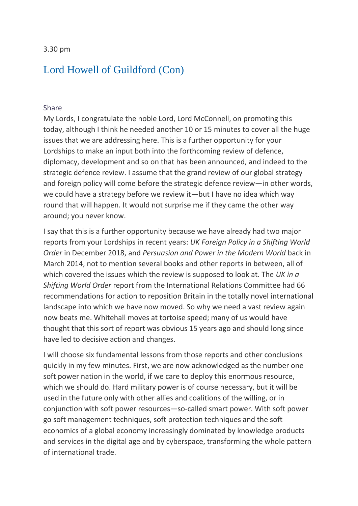3.30 pm

## [Lord Howell of Guildford \(Con\)](https://hansard.parliament.uk/search/MemberContributions?house=Lords&memberId=993)

### [Share](https://hansard.parliament.uk/Lords/2020-01-30/debates/F5BAD536-C010-437B-AAF7-14F8D6DA64C7/DefenceDiplomacyAndDevelopmentPolicy#contribution-3673E73D-B0B9-43EB-932A-A379F5F6FCB3)

My Lords, I congratulate the noble Lord, Lord McConnell, on promoting this today, although I think he needed another 10 or 15 minutes to cover all the huge issues that we are addressing here. This is a further opportunity for your Lordships to make an input both into the forthcoming review of defence, diplomacy, development and so on that has been announced, and indeed to the strategic defence review. I assume that the grand review of our global strategy and foreign policy will come before the strategic defence review—in other words, we could have a strategy before we review it—but I have no idea which way round that will happen. It would not surprise me if they came the other way around; you never know.

I say that this is a further opportunity because we have already had two major reports from your Lordships in recent years: *UK Foreign Policy in a Shifting World Order* in December 2018, and *Persuasion and Power in the Modern World* back in March 2014, not to mention several books and other reports in between, all of which covered the issues which the review is supposed to look at. The *UK in a Shifting World Order* report from the International Relations Committee had 66 recommendations for action to reposition Britain in the totally novel international landscape into which we have now moved. So why we need a vast review again now beats me. Whitehall moves at tortoise speed; many of us would have thought that this sort of report was obvious 15 years ago and should long since have led to decisive action and changes.

I will choose six fundamental lessons from those reports and other conclusions quickly in my few minutes. First, we are now acknowledged as the number one soft power nation in the world, if we care to deploy this enormous resource, which we should do. Hard military power is of course necessary, but it will be used in the future only with other allies and coalitions of the willing, or in conjunction with soft power resources—so-called smart power. With soft power go soft management techniques, soft protection techniques and the soft economics of a global economy increasingly dominated by knowledge products and services in the digital age and by cyberspace, transforming the whole pattern of international trade.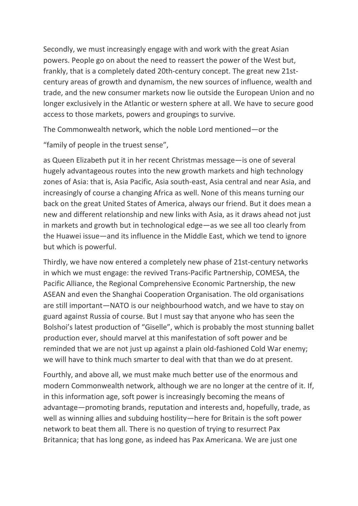Secondly, we must increasingly engage with and work with the great Asian powers. People go on about the need to reassert the power of the West but, frankly, that is a completely dated 20th-century concept. The great new 21stcentury areas of growth and dynamism, the new sources of influence, wealth and trade, and the new consumer markets now lie outside the European Union and no longer exclusively in the Atlantic or western sphere at all. We have to secure good access to those markets, powers and groupings to survive.

The Commonwealth network, which the noble Lord mentioned—or the

"family of people in the truest sense",

as Queen Elizabeth put it in her recent Christmas message—is one of several hugely advantageous routes into the new growth markets and high technology zones of Asia: that is, Asia Pacific, Asia south-east, Asia central and near Asia, and increasingly of course a changing Africa as well. None of this means turning our back on the great United States of America, always our friend. But it does mean a new and different relationship and new links with Asia, as it draws ahead not just in markets and growth but in technological edge—as we see all too clearly from the Huawei issue—and its influence in the Middle East, which we tend to ignore but which is powerful.

Thirdly, we have now entered a completely new phase of 21st-century networks in which we must engage: the revived Trans-Pacific Partnership, COMESA, the Pacific Alliance, the Regional Comprehensive Economic Partnership, the new ASEAN and even the Shanghai Cooperation Organisation. The old organisations are still important—NATO is our neighbourhood watch, and we have to stay on guard against Russia of course. But I must say that anyone who has seen the Bolshoi's latest production of "Giselle", which is probably the most stunning ballet production ever, should marvel at this manifestation of soft power and be reminded that we are not just up against a plain old-fashioned Cold War enemy; we will have to think much smarter to deal with that than we do at present.

Fourthly, and above all, we must make much better use of the enormous and modern Commonwealth network, although we are no longer at the centre of it. If, in this information age, soft power is increasingly becoming the means of advantage—promoting brands, reputation and interests and, hopefully, trade, as well as winning allies and subduing hostility—here for Britain is the soft power network to beat them all. There is no question of trying to resurrect Pax Britannica; that has long gone, as indeed has Pax Americana. We are just one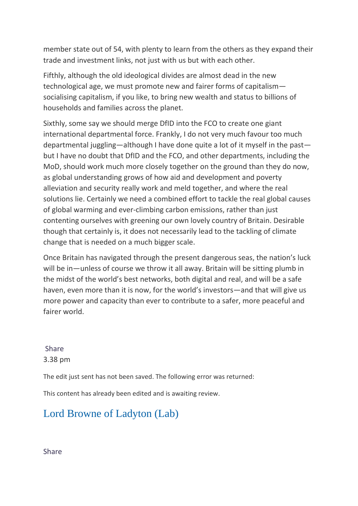member state out of 54, with plenty to learn from the others as they expand their trade and investment links, not just with us but with each other.

Fifthly, although the old ideological divides are almost dead in the new technological age, we must promote new and fairer forms of capitalism socialising capitalism, if you like, to bring new wealth and status to billions of households and families across the planet.

Sixthly, some say we should merge DfID into the FCO to create one giant international departmental force. Frankly, I do not very much favour too much departmental juggling—although I have done quite a lot of it myself in the past but I have no doubt that DfID and the FCO, and other departments, including the MoD, should work much more closely together on the ground than they do now, as global understanding grows of how aid and development and poverty alleviation and security really work and meld together, and where the real solutions lie. Certainly we need a combined effort to tackle the real global causes of global warming and ever-climbing carbon emissions, rather than just contenting ourselves with greening our own lovely country of Britain. Desirable though that certainly is, it does not necessarily lead to the tackling of climate change that is needed on a much bigger scale.

Once Britain has navigated through the present dangerous seas, the nation's luck will be in—unless of course we throw it all away. Britain will be sitting plumb in the midst of the world's best networks, both digital and real, and will be a safe haven, even more than it is now, for the world's investors—and that will give us more power and capacity than ever to contribute to a safer, more peaceful and fairer world.

[Share](https://hansard.parliament.uk/Lords/2020-01-30/debates/F5BAD536-C010-437B-AAF7-14F8D6DA64C7/DefenceDiplomacyAndDevelopmentPolicy#contribution-3673E73D-B0B9-43EB-932A-A379F5F6FCB3)  3.38 pm

The edit just sent has not been saved. The following error was returned:

This content has already been edited and is awaiting review.

## [Lord Browne of Ladyton \(Lab\)](https://hansard.parliament.uk/search/MemberContributions?house=Lords&memberId=620)

[Share](https://hansard.parliament.uk/Lords/2020-01-30/debates/F5BAD536-C010-437B-AAF7-14F8D6DA64C7/DefenceDiplomacyAndDevelopmentPolicy#contribution-3A250F00-0737-4631-9929-1B12B0488B3C)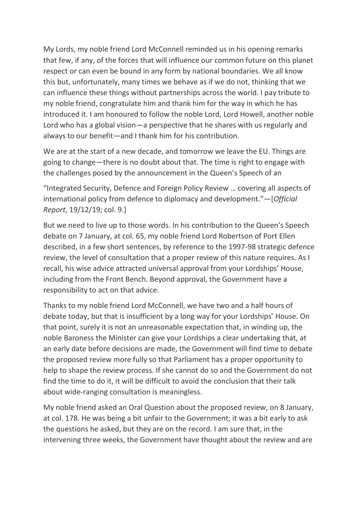My Lords, my noble friend Lord McConnell reminded us in his opening remarks that few, if any, of the forces that will influence our common future on this planet respect or can even be bound in any form by national boundaries. We all know this but, unfortunately, many times we behave as if we do not, thinking that we can influence these things without partnerships across the world. I pay tribute to my noble friend, congratulate him and thank him for the way in which he has introduced it. I am honoured to follow the noble Lord, Lord Howell, another noble Lord who has a global vision—a perspective that he shares with us regularly and always to our benefit—and I thank him for his contribution.

We are at the start of a new decade, and tomorrow we leave the EU. Things are going to change—there is no doubt about that. The time is right to engage with the challenges posed by the announcement in the Queen's Speech of an

"Integrated Security, Defence and Foreign Policy Review … covering all aspects of international policy from defence to diplomacy and development."—[*Official Report*, 19/12/19; col. 9.]

But we need to live up to those words. In his contribution to the Queen's Speech debate on 7 January, at col. 65, my noble friend Lord Robertson of Port Ellen described, in a few short sentences, by reference to the 1997-98 strategic defence review, the level of consultation that a proper review of this nature requires. As I recall, his wise advice attracted universal approval from your Lordships' House, including from the Front Bench. Beyond approval, the Government have a responsibility to act on that advice.

Thanks to my noble friend Lord McConnell, we have two and a half hours of debate today, but that is insufficient by a long way for your Lordships' House. On that point, surely it is not an unreasonable expectation that, in winding up, the noble Baroness the Minister can give your Lordships a clear undertaking that, at an early date before decisions are made, the Government will find time to debate the proposed review more fully so that Parliament has a proper opportunity to help to shape the review process. If she cannot do so and the Government do not find the time to do it, it will be difficult to avoid the conclusion that their talk about wide-ranging consultation is meaningless.

My noble friend asked an Oral Question about the proposed review, on 8 January, at col. 178. He was being a bit unfair to the Government; it was a bit early to ask the questions he asked, but they are on the record. I am sure that, in the intervening three weeks, the Government have thought about the review and are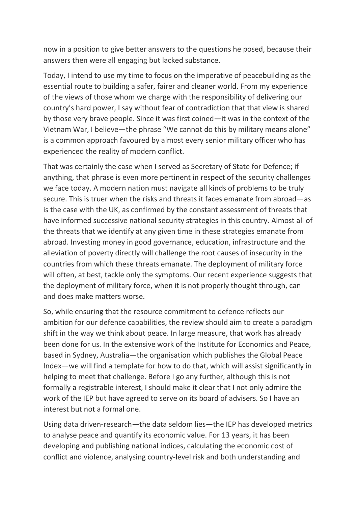now in a position to give better answers to the questions he posed, because their answers then were all engaging but lacked substance.

Today, I intend to use my time to focus on the imperative of peacebuilding as the essential route to building a safer, fairer and cleaner world. From my experience of the views of those whom we charge with the responsibility of delivering our country's hard power, I say without fear of contradiction that that view is shared by those very brave people. Since it was first coined—it was in the context of the Vietnam War, I believe—the phrase "We cannot do this by military means alone" is a common approach favoured by almost every senior military officer who has experienced the reality of modern conflict.

That was certainly the case when I served as Secretary of State for Defence; if anything, that phrase is even more pertinent in respect of the security challenges we face today. A modern nation must navigate all kinds of problems to be truly secure. This is truer when the risks and threats it faces emanate from abroad—as is the case with the UK, as confirmed by the constant assessment of threats that have informed successive national security strategies in this country. Almost all of the threats that we identify at any given time in these strategies emanate from abroad. Investing money in good governance, education, infrastructure and the alleviation of poverty directly will challenge the root causes of insecurity in the countries from which these threats emanate. The deployment of military force will often, at best, tackle only the symptoms. Our recent experience suggests that the deployment of military force, when it is not properly thought through, can and does make matters worse.

So, while ensuring that the resource commitment to defence reflects our ambition for our defence capabilities, the review should aim to create a paradigm shift in the way we think about peace. In large measure, that work has already been done for us. In the extensive work of the Institute for Economics and Peace, based in Sydney, Australia—the organisation which publishes the Global Peace Index—we will find a template for how to do that, which will assist significantly in helping to meet that challenge. Before I go any further, although this is not formally a registrable interest, I should make it clear that I not only admire the work of the IEP but have agreed to serve on its board of advisers. So I have an interest but not a formal one.

Using data driven-research—the data seldom lies—the IEP has developed metrics to analyse peace and quantify its economic value. For 13 years, it has been developing and publishing national indices, calculating the economic cost of conflict and violence, analysing country-level risk and both understanding and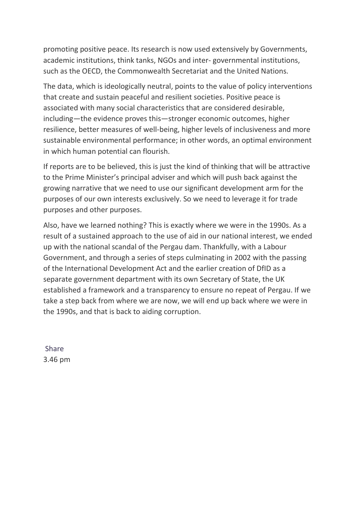promoting positive peace. Its research is now used extensively by Governments, academic institutions, think tanks, NGOs and inter- governmental institutions, such as the OECD, the Commonwealth Secretariat and the United Nations.

The data, which is ideologically neutral, points to the value of policy interventions that create and sustain peaceful and resilient societies. Positive peace is associated with many social characteristics that are considered desirable, including—the evidence proves this—stronger economic outcomes, higher resilience, better measures of well-being, higher levels of inclusiveness and more sustainable environmental performance; in other words, an optimal environment in which human potential can flourish.

If reports are to be believed, this is just the kind of thinking that will be attractive to the Prime Minister's principal adviser and which will push back against the growing narrative that we need to use our significant development arm for the purposes of our own interests exclusively. So we need to leverage it for trade purposes and other purposes.

Also, have we learned nothing? This is exactly where we were in the 1990s. As a result of a sustained approach to the use of aid in our national interest, we ended up with the national scandal of the Pergau dam. Thankfully, with a Labour Government, and through a series of steps culminating in 2002 with the passing of the International Development Act and the earlier creation of DfID as a separate government department with its own Secretary of State, the UK established a framework and a transparency to ensure no repeat of Pergau. If we take a step back from where we are now, we will end up back where we were in the 1990s, and that is back to aiding corruption.

[Share](https://hansard.parliament.uk/Lords/2020-01-30/debates/F5BAD536-C010-437B-AAF7-14F8D6DA64C7/DefenceDiplomacyAndDevelopmentPolicy#contribution-3A250F00-0737-4631-9929-1B12B0488B3C)  3.46 pm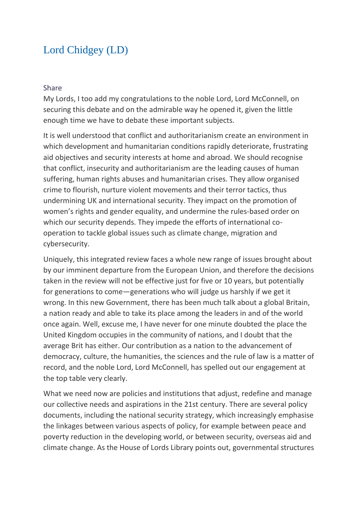## [Lord Chidgey \(LD\)](https://hansard.parliament.uk/search/MemberContributions?house=Lords&memberId=50)

#### [Share](https://hansard.parliament.uk/Lords/2020-01-30/debates/F5BAD536-C010-437B-AAF7-14F8D6DA64C7/DefenceDiplomacyAndDevelopmentPolicy#contribution-88CEF1F5-A9D4-4070-8F89-F6BF194340E0)

My Lords, I too add my congratulations to the noble Lord, Lord McConnell, on securing this debate and on the admirable way he opened it, given the little enough time we have to debate these important subjects.

It is well understood that conflict and authoritarianism create an environment in which development and humanitarian conditions rapidly deteriorate, frustrating aid objectives and security interests at home and abroad. We should recognise that conflict, insecurity and authoritarianism are the leading causes of human suffering, human rights abuses and humanitarian crises. They allow organised crime to flourish, nurture violent movements and their terror tactics, thus undermining UK and international security. They impact on the promotion of women's rights and gender equality, and undermine the rules-based order on which our security depends. They impede the efforts of international cooperation to tackle global issues such as climate change, migration and cybersecurity.

Uniquely, this integrated review faces a whole new range of issues brought about by our imminent departure from the European Union, and therefore the decisions taken in the review will not be effective just for five or 10 years, but potentially for generations to come—generations who will judge us harshly if we get it wrong. In this new Government, there has been much talk about a global Britain, a nation ready and able to take its place among the leaders in and of the world once again. Well, excuse me, I have never for one minute doubted the place the United Kingdom occupies in the community of nations, and I doubt that the average Brit has either. Our contribution as a nation to the advancement of democracy, culture, the humanities, the sciences and the rule of law is a matter of record, and the noble Lord, Lord McConnell, has spelled out our engagement at the top table very clearly.

What we need now are policies and institutions that adjust, redefine and manage our collective needs and aspirations in the 21st century. There are several policy documents, including the national security strategy, which increasingly emphasise the linkages between various aspects of policy, for example between peace and poverty reduction in the developing world, or between security, overseas aid and climate change. As the House of Lords Library points out, governmental structures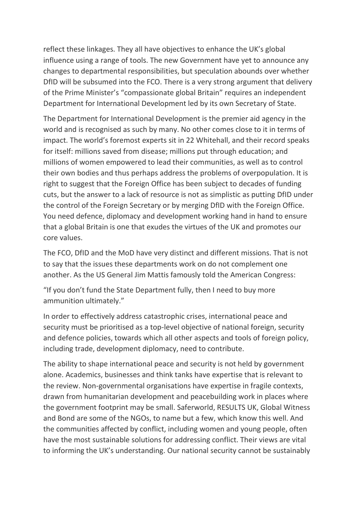reflect these linkages. They all have objectives to enhance the UK's global influence using a range of tools. The new Government have yet to announce any changes to departmental responsibilities, but speculation abounds over whether DfID will be subsumed into the FCO. There is a very strong argument that delivery of the Prime Minister's "compassionate global Britain" requires an independent Department for International Development led by its own Secretary of State.

The Department for International Development is the premier aid agency in the world and is recognised as such by many. No other comes close to it in terms of impact. The world's foremost experts sit in 22 Whitehall, and their record speaks for itself: millions saved from disease; millions put through education; and millions of women empowered to lead their communities, as well as to control their own bodies and thus perhaps address the problems of overpopulation. It is right to suggest that the Foreign Office has been subject to decades of funding cuts, but the answer to a lack of resource is not as simplistic as putting DfID under the control of the Foreign Secretary or by merging DfID with the Foreign Office. You need defence, diplomacy and development working hand in hand to ensure that a global Britain is one that exudes the virtues of the UK and promotes our core values.

The FCO, DfID and the MoD have very distinct and different missions. That is not to say that the issues these departments work on do not complement one another. As the US General Jim Mattis famously told the American Congress:

"If you don't fund the State Department fully, then I need to buy more ammunition ultimately."

In order to effectively address catastrophic crises, international peace and security must be prioritised as a top-level objective of national foreign, security and defence policies, towards which all other aspects and tools of foreign policy, including trade, development diplomacy, need to contribute.

The ability to shape international peace and security is not held by government alone. Academics, businesses and think tanks have expertise that is relevant to the review. Non-governmental organisations have expertise in fragile contexts, drawn from humanitarian development and peacebuilding work in places where the government footprint may be small. Saferworld, RESULTS UK, Global Witness and Bond are some of the NGOs, to name but a few, which know this well. And the communities affected by conflict, including women and young people, often have the most sustainable solutions for addressing conflict. Their views are vital to informing the UK's understanding. Our national security cannot be sustainably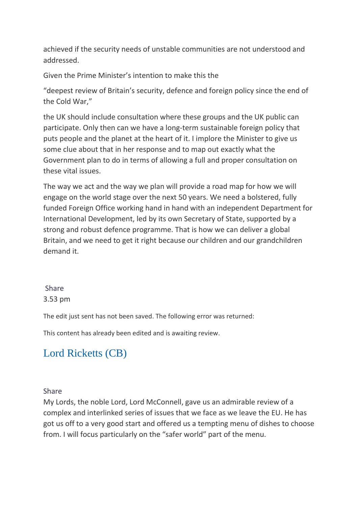achieved if the security needs of unstable communities are not understood and addressed.

Given the Prime Minister's intention to make this the

"deepest review of Britain's security, defence and foreign policy since the end of the Cold War,"

the UK should include consultation where these groups and the UK public can participate. Only then can we have a long-term sustainable foreign policy that puts people and the planet at the heart of it. I implore the Minister to give us some clue about that in her response and to map out exactly what the Government plan to do in terms of allowing a full and proper consultation on these vital issues.

The way we act and the way we plan will provide a road map for how we will engage on the world stage over the next 50 years. We need a bolstered, fully funded Foreign Office working hand in hand with an independent Department for International Development, led by its own Secretary of State, supported by a strong and robust defence programme. That is how we can deliver a global Britain, and we need to get it right because our children and our grandchildren demand it.

### [Share](https://hansard.parliament.uk/Lords/2020-01-30/debates/F5BAD536-C010-437B-AAF7-14F8D6DA64C7/DefenceDiplomacyAndDevelopmentPolicy#contribution-88CEF1F5-A9D4-4070-8F89-F6BF194340E0)  3.53 pm

The edit just sent has not been saved. The following error was returned:

This content has already been edited and is awaiting review.

# [Lord Ricketts \(CB\)](https://hansard.parliament.uk/search/MemberContributions?house=Lords&memberId=4587)

[Share](https://hansard.parliament.uk/Lords/2020-01-30/debates/F5BAD536-C010-437B-AAF7-14F8D6DA64C7/DefenceDiplomacyAndDevelopmentPolicy#contribution-4D10718D-8DEB-4957-9339-A8F9D58FC9B3) 

My Lords, the noble Lord, Lord McConnell, gave us an admirable review of a complex and interlinked series of issues that we face as we leave the EU. He has got us off to a very good start and offered us a tempting menu of dishes to choose from. I will focus particularly on the "safer world" part of the menu.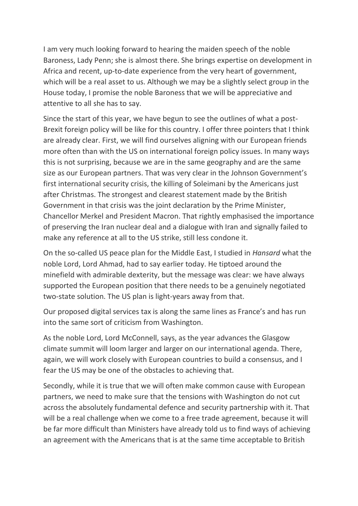I am very much looking forward to hearing the maiden speech of the noble Baroness, Lady Penn; she is almost there. She brings expertise on development in Africa and recent, up-to-date experience from the very heart of government, which will be a real asset to us. Although we may be a slightly select group in the House today, I promise the noble Baroness that we will be appreciative and attentive to all she has to say.

Since the start of this year, we have begun to see the outlines of what a post-Brexit foreign policy will be like for this country. I offer three pointers that I think are already clear. First, we will find ourselves aligning with our European friends more often than with the US on international foreign policy issues. In many ways this is not surprising, because we are in the same geography and are the same size as our European partners. That was very clear in the Johnson Government's first international security crisis, the killing of Soleimani by the Americans just after Christmas. The strongest and clearest statement made by the British Government in that crisis was the joint declaration by the Prime Minister, Chancellor Merkel and President Macron. That rightly emphasised the importance of preserving the Iran nuclear deal and a dialogue with Iran and signally failed to make any reference at all to the US strike, still less condone it.

On the so-called US peace plan for the Middle East, I studied in *Hansard* what the noble Lord, Lord Ahmad, had to say earlier today. He tiptoed around the minefield with admirable dexterity, but the message was clear: we have always supported the European position that there needs to be a genuinely negotiated two-state solution. The US plan is light-years away from that.

Our proposed digital services tax is along the same lines as France's and has run into the same sort of criticism from Washington.

As the noble Lord, Lord McConnell, says, as the year advances the Glasgow climate summit will loom larger and larger on our international agenda. There, again, we will work closely with European countries to build a consensus, and I fear the US may be one of the obstacles to achieving that.

Secondly, while it is true that we will often make common cause with European partners, we need to make sure that the tensions with Washington do not cut across the absolutely fundamental defence and security partnership with it. That will be a real challenge when we come to a free trade agreement, because it will be far more difficult than Ministers have already told us to find ways of achieving an agreement with the Americans that is at the same time acceptable to British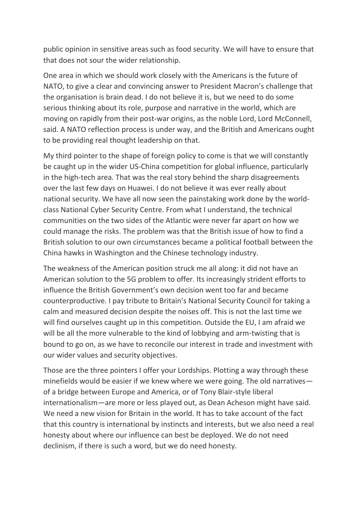public opinion in sensitive areas such as food security. We will have to ensure that that does not sour the wider relationship.

One area in which we should work closely with the Americans is the future of NATO, to give a clear and convincing answer to President Macron's challenge that the organisation is brain dead. I do not believe it is, but we need to do some serious thinking about its role, purpose and narrative in the world, which are moving on rapidly from their post-war origins, as the noble Lord, Lord McConnell, said. A NATO reflection process is under way, and the British and Americans ought to be providing real thought leadership on that.

My third pointer to the shape of foreign policy to come is that we will constantly be caught up in the wider US-China competition for global influence, particularly in the high-tech area. That was the real story behind the sharp disagreements over the last few days on Huawei. I do not believe it was ever really about national security. We have all now seen the painstaking work done by the worldclass National Cyber Security Centre. From what I understand, the technical communities on the two sides of the Atlantic were never far apart on how we could manage the risks. The problem was that the British issue of how to find a British solution to our own circumstances became a political football between the China hawks in Washington and the Chinese technology industry.

The weakness of the American position struck me all along: it did not have an American solution to the 5G problem to offer. Its increasingly strident efforts to influence the British Government's own decision went too far and became counterproductive. I pay tribute to Britain's National Security Council for taking a calm and measured decision despite the noises off. This is not the last time we will find ourselves caught up in this competition. Outside the EU, I am afraid we will be all the more vulnerable to the kind of lobbying and arm-twisting that is bound to go on, as we have to reconcile our interest in trade and investment with our wider values and security objectives.

Those are the three pointers I offer your Lordships. Plotting a way through these minefields would be easier if we knew where we were going. The old narratives of a bridge between Europe and America, or of Tony Blair-style liberal internationalism—are more or less played out, as Dean Acheson might have said. We need a new vision for Britain in the world. It has to take account of the fact that this country is international by instincts and interests, but we also need a real honesty about where our influence can best be deployed. We do not need declinism, if there is such a word, but we do need honesty.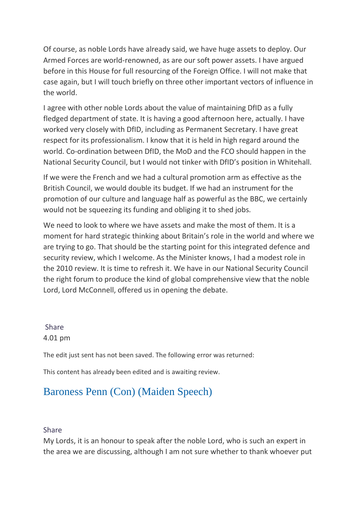Of course, as noble Lords have already said, we have huge assets to deploy. Our Armed Forces are world-renowned, as are our soft power assets. I have argued before in this House for full resourcing of the Foreign Office. I will not make that case again, but I will touch briefly on three other important vectors of influence in the world.

I agree with other noble Lords about the value of maintaining DfID as a fully fledged department of state. It is having a good afternoon here, actually. I have worked very closely with DfID, including as Permanent Secretary. I have great respect for its professionalism. I know that it is held in high regard around the world. Co-ordination between DfID, the MoD and the FCO should happen in the National Security Council, but I would not tinker with DfID's position in Whitehall.

If we were the French and we had a cultural promotion arm as effective as the British Council, we would double its budget. If we had an instrument for the promotion of our culture and language half as powerful as the BBC, we certainly would not be squeezing its funding and obliging it to shed jobs.

We need to look to where we have assets and make the most of them. It is a moment for hard strategic thinking about Britain's role in the world and where we are trying to go. That should be the starting point for this integrated defence and security review, which I welcome. As the Minister knows, I had a modest role in the 2010 review. It is time to refresh it. We have in our National Security Council the right forum to produce the kind of global comprehensive view that the noble Lord, Lord McConnell, offered us in opening the debate.

[Share](https://hansard.parliament.uk/Lords/2020-01-30/debates/F5BAD536-C010-437B-AAF7-14F8D6DA64C7/DefenceDiplomacyAndDevelopmentPolicy#contribution-4D10718D-8DEB-4957-9339-A8F9D58FC9B3)  4.01 pm

The edit just sent has not been saved. The following error was returned:

This content has already been edited and is awaiting review.

## [Baroness Penn \(Con\) \(Maiden Speech\)](https://hansard.parliament.uk/search/MemberContributions?house=Lords&memberId=4726)

### [Share](https://hansard.parliament.uk/Lords/2020-01-30/debates/F5BAD536-C010-437B-AAF7-14F8D6DA64C7/DefenceDiplomacyAndDevelopmentPolicy#contribution-71F71A24-D639-4E97-9317-4AB293D16BDB)

My Lords, it is an honour to speak after the noble Lord, who is such an expert in the area we are discussing, although I am not sure whether to thank whoever put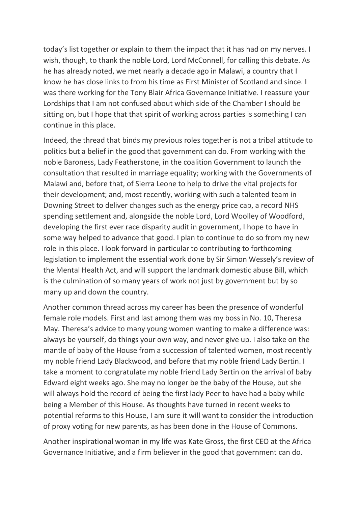today's list together or explain to them the impact that it has had on my nerves. I wish, though, to thank the noble Lord, Lord McConnell, for calling this debate. As he has already noted, we met nearly a decade ago in Malawi, a country that I know he has close links to from his time as First Minister of Scotland and since. I was there working for the Tony Blair Africa Governance Initiative. I reassure your Lordships that I am not confused about which side of the Chamber I should be sitting on, but I hope that that spirit of working across parties is something I can continue in this place.

Indeed, the thread that binds my previous roles together is not a tribal attitude to politics but a belief in the good that government can do. From working with the noble Baroness, Lady Featherstone, in the coalition Government to launch the consultation that resulted in marriage equality; working with the Governments of Malawi and, before that, of Sierra Leone to help to drive the vital projects for their development; and, most recently, working with such a talented team in Downing Street to deliver changes such as the energy price cap, a record NHS spending settlement and, alongside the noble Lord, Lord Woolley of Woodford, developing the first ever race disparity audit in government, I hope to have in some way helped to advance that good. I plan to continue to do so from my new role in this place. I look forward in particular to contributing to forthcoming legislation to implement the essential work done by Sir Simon Wessely's review of the Mental Health Act, and will support the landmark domestic abuse Bill, which is the culmination of so many years of work not just by government but by so many up and down the country.

Another common thread across my career has been the presence of wonderful female role models. First and last among them was my boss in No. 10, Theresa May. Theresa's advice to many young women wanting to make a difference was: always be yourself, do things your own way, and never give up. I also take on the mantle of baby of the House from a succession of talented women, most recently my noble friend Lady Blackwood, and before that my noble friend Lady Bertin. I take a moment to congratulate my noble friend Lady Bertin on the arrival of baby Edward eight weeks ago. She may no longer be the baby of the House, but she will always hold the record of being the first lady Peer to have had a baby while being a Member of this House. As thoughts have turned in recent weeks to potential reforms to this House, I am sure it will want to consider the introduction of proxy voting for new parents, as has been done in the House of Commons.

Another inspirational woman in my life was Kate Gross, the first CEO at the Africa Governance Initiative, and a firm believer in the good that government can do.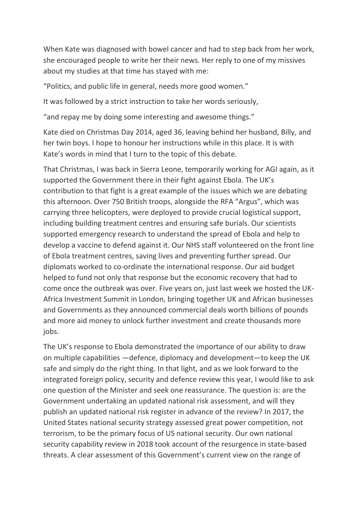When Kate was diagnosed with bowel cancer and had to step back from her work, she encouraged people to write her their news. Her reply to one of my missives about my studies at that time has stayed with me:

"Politics, and public life in general, needs more good women."

It was followed by a strict instruction to take her words seriously,

"and repay me by doing some interesting and awesome things."

Kate died on Christmas Day 2014, aged 36, leaving behind her husband, Billy, and her twin boys. I hope to honour her instructions while in this place. It is with Kate's words in mind that I turn to the topic of this debate.

That Christmas, I was back in Sierra Leone, temporarily working for AGI again, as it supported the Government there in their fight against Ebola. The UK's contribution to that fight is a great example of the issues which we are debating this afternoon. Over 750 British troops, alongside the RFA "Argus", which was carrying three helicopters, were deployed to provide crucial logistical support, including building treatment centres and ensuring safe burials. Our scientists supported emergency research to understand the spread of Ebola and help to develop a vaccine to defend against it. Our NHS staff volunteered on the front line of Ebola treatment centres, saving lives and preventing further spread. Our diplomats worked to co-ordinate the international response. Our aid budget helped to fund not only that response but the economic recovery that had to come once the outbreak was over. Five years on, just last week we hosted the UK-Africa Investment Summit in London, bringing together UK and African businesses and Governments as they announced commercial deals worth billions of pounds and more aid money to unlock further investment and create thousands more jobs.

The UK's response to Ebola demonstrated the importance of our ability to draw on multiple capabilities —defence, diplomacy and development—to keep the UK safe and simply do the right thing. In that light, and as we look forward to the integrated foreign policy, security and defence review this year, I would like to ask one question of the Minister and seek one reassurance. The question is: are the Government undertaking an updated national risk assessment, and will they publish an updated national risk register in advance of the review? In 2017, the United States national security strategy assessed great power competition, not terrorism, to be the primary focus of US national security. Our own national security capability review in 2018 took account of the resurgence in state-based threats. A clear assessment of this Government's current view on the range of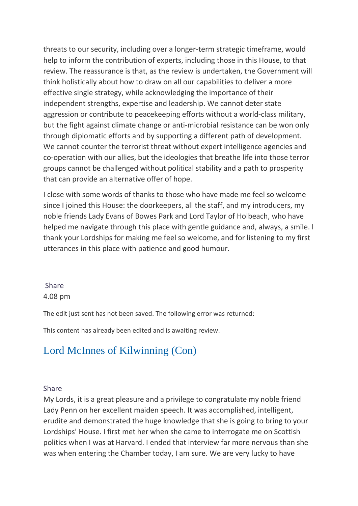threats to our security, including over a longer-term strategic timeframe, would help to inform the contribution of experts, including those in this House, to that review. The reassurance is that, as the review is undertaken, the Government will think holistically about how to draw on all our capabilities to deliver a more effective single strategy, while acknowledging the importance of their independent strengths, expertise and leadership. We cannot deter state aggression or contribute to peacekeeping efforts without a world-class military, but the fight against climate change or anti-microbial resistance can be won only through diplomatic efforts and by supporting a different path of development. We cannot counter the terrorist threat without expert intelligence agencies and co-operation with our allies, but the ideologies that breathe life into those terror groups cannot be challenged without political stability and a path to prosperity that can provide an alternative offer of hope.

I close with some words of thanks to those who have made me feel so welcome since I joined this House: the doorkeepers, all the staff, and my introducers, my noble friends Lady Evans of Bowes Park and Lord Taylor of Holbeach, who have helped me navigate through this place with gentle guidance and, always, a smile. I thank your Lordships for making me feel so welcome, and for listening to my first utterances in this place with patience and good humour.

### [Share](https://hansard.parliament.uk/Lords/2020-01-30/debates/F5BAD536-C010-437B-AAF7-14F8D6DA64C7/DefenceDiplomacyAndDevelopmentPolicy#contribution-71F71A24-D639-4E97-9317-4AB293D16BDB)  4.08 pm

The edit just sent has not been saved. The following error was returned:

This content has already been edited and is awaiting review.

# [Lord McInnes of Kilwinning \(Con\)](https://hansard.parliament.uk/search/MemberContributions?house=Lords&memberId=4576)

### [Share](https://hansard.parliament.uk/Lords/2020-01-30/debates/F5BAD536-C010-437B-AAF7-14F8D6DA64C7/DefenceDiplomacyAndDevelopmentPolicy#contribution-55C82C78-2847-4FB3-82B9-76C6B5990C5C)

My Lords, it is a great pleasure and a privilege to congratulate my noble friend Lady Penn on her excellent maiden speech. It was accomplished, intelligent, erudite and demonstrated the huge knowledge that she is going to bring to your Lordships' House. I first met her when she came to interrogate me on Scottish politics when I was at Harvard. I ended that interview far more nervous than she was when entering the Chamber today, I am sure. We are very lucky to have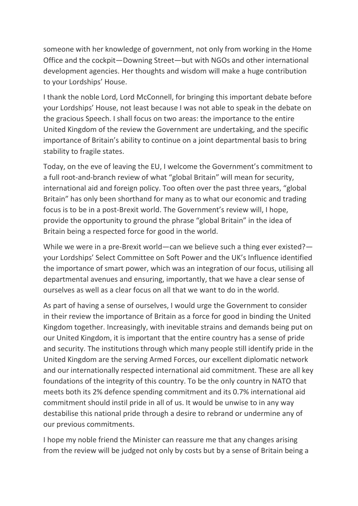someone with her knowledge of government, not only from working in the Home Office and the cockpit—Downing Street—but with NGOs and other international development agencies. Her thoughts and wisdom will make a huge contribution to your Lordships' House.

I thank the noble Lord, Lord McConnell, for bringing this important debate before your Lordships' House, not least because I was not able to speak in the debate on the gracious Speech. I shall focus on two areas: the importance to the entire United Kingdom of the review the Government are undertaking, and the specific importance of Britain's ability to continue on a joint departmental basis to bring stability to fragile states.

Today, on the eve of leaving the EU, I welcome the Government's commitment to a full root-and-branch review of what "global Britain" will mean for security, international aid and foreign policy. Too often over the past three years, "global Britain" has only been shorthand for many as to what our economic and trading focus is to be in a post-Brexit world. The Government's review will, I hope, provide the opportunity to ground the phrase "global Britain" in the idea of Britain being a respected force for good in the world.

While we were in a pre-Brexit world—can we believe such a thing ever existed? your Lordships' Select Committee on Soft Power and the UK's Influence identified the importance of smart power, which was an integration of our focus, utilising all departmental avenues and ensuring, importantly, that we have a clear sense of ourselves as well as a clear focus on all that we want to do in the world.

As part of having a sense of ourselves, I would urge the Government to consider in their review the importance of Britain as a force for good in binding the United Kingdom together. Increasingly, with inevitable strains and demands being put on our United Kingdom, it is important that the entire country has a sense of pride and security. The institutions through which many people still identify pride in the United Kingdom are the serving Armed Forces, our excellent diplomatic network and our internationally respected international aid commitment. These are all key foundations of the integrity of this country. To be the only country in NATO that meets both its 2% defence spending commitment and its 0.7% international aid commitment should instil pride in all of us. It would be unwise to in any way destabilise this national pride through a desire to rebrand or undermine any of our previous commitments.

I hope my noble friend the Minister can reassure me that any changes arising from the review will be judged not only by costs but by a sense of Britain being a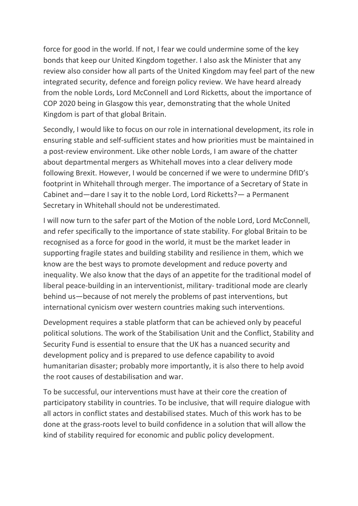force for good in the world. If not, I fear we could undermine some of the key bonds that keep our United Kingdom together. I also ask the Minister that any review also consider how all parts of the United Kingdom may feel part of the new integrated security, defence and foreign policy review. We have heard already from the noble Lords, Lord McConnell and Lord Ricketts, about the importance of COP 2020 being in Glasgow this year, demonstrating that the whole United Kingdom is part of that global Britain.

Secondly, I would like to focus on our role in international development, its role in ensuring stable and self-sufficient states and how priorities must be maintained in a post-review environment. Like other noble Lords, I am aware of the chatter about departmental mergers as Whitehall moves into a clear delivery mode following Brexit. However, I would be concerned if we were to undermine DfID's footprint in Whitehall through merger. The importance of a Secretary of State in Cabinet and—dare I say it to the noble Lord, Lord Ricketts?— a Permanent Secretary in Whitehall should not be underestimated.

I will now turn to the safer part of the Motion of the noble Lord, Lord McConnell, and refer specifically to the importance of state stability. For global Britain to be recognised as a force for good in the world, it must be the market leader in supporting fragile states and building stability and resilience in them, which we know are the best ways to promote development and reduce poverty and inequality. We also know that the days of an appetite for the traditional model of liberal peace-building in an interventionist, military- traditional mode are clearly behind us—because of not merely the problems of past interventions, but international cynicism over western countries making such interventions.

Development requires a stable platform that can be achieved only by peaceful political solutions. The work of the Stabilisation Unit and the Conflict, Stability and Security Fund is essential to ensure that the UK has a nuanced security and development policy and is prepared to use defence capability to avoid humanitarian disaster; probably more importantly, it is also there to help avoid the root causes of destabilisation and war.

To be successful, our interventions must have at their core the creation of participatory stability in countries. To be inclusive, that will require dialogue with all actors in conflict states and destabilised states. Much of this work has to be done at the grass-roots level to build confidence in a solution that will allow the kind of stability required for economic and public policy development.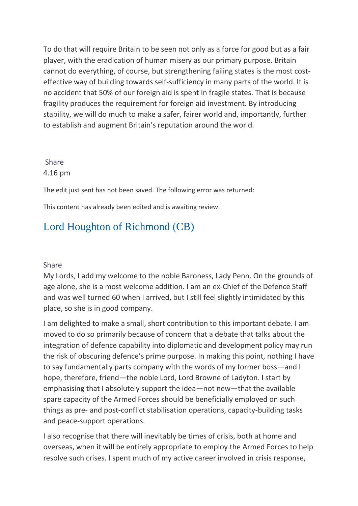To do that will require Britain to be seen not only as a force for good but as a fair player, with the eradication of human misery as our primary purpose. Britain cannot do everything, of course, but strengthening failing states is the most costeffective way of building towards self-sufficiency in many parts of the world. It is no accident that 50% of our foreign aid is spent in fragile states. That is because fragility produces the requirement for foreign aid investment. By introducing stability, we will do much to make a safer, fairer world and, importantly, further to establish and augment Britain's reputation around the world.

### [Share](https://hansard.parliament.uk/Lords/2020-01-30/debates/F5BAD536-C010-437B-AAF7-14F8D6DA64C7/DefenceDiplomacyAndDevelopmentPolicy#contribution-55C82C78-2847-4FB3-82B9-76C6B5990C5C)  4.16 pm

The edit just sent has not been saved. The following error was returned:

This content has already been edited and is awaiting review.

# [Lord Houghton of Richmond \(CB\)](https://hansard.parliament.uk/search/MemberContributions?house=Lords&memberId=4694)

### [Share](https://hansard.parliament.uk/Lords/2020-01-30/debates/F5BAD536-C010-437B-AAF7-14F8D6DA64C7/DefenceDiplomacyAndDevelopmentPolicy#contribution-ABC90967-97D4-4D8D-A35D-E06B368BB140)

My Lords, I add my welcome to the noble Baroness, Lady Penn. On the grounds of age alone, she is a most welcome addition. I am an ex-Chief of the Defence Staff and was well turned 60 when I arrived, but I still feel slightly intimidated by this place, so she is in good company.

I am delighted to make a small, short contribution to this important debate. I am moved to do so primarily because of concern that a debate that talks about the integration of defence capability into diplomatic and development policy may run the risk of obscuring defence's prime purpose. In making this point, nothing I have to say fundamentally parts company with the words of my former boss—and I hope, therefore, friend—the noble Lord, Lord Browne of Ladyton. I start by emphasising that I absolutely support the idea—not new—that the available spare capacity of the Armed Forces should be beneficially employed on such things as pre- and post-conflict stabilisation operations, capacity-building tasks and peace-support operations.

I also recognise that there will inevitably be times of crisis, both at home and overseas, when it will be entirely appropriate to employ the Armed Forces to help resolve such crises. I spent much of my active career involved in crisis response,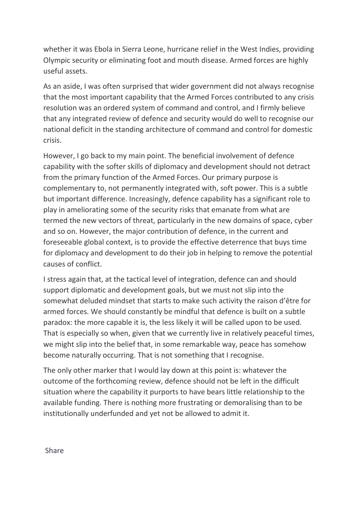whether it was Ebola in Sierra Leone, hurricane relief in the West Indies, providing Olympic security or eliminating foot and mouth disease. Armed forces are highly useful assets.

As an aside, I was often surprised that wider government did not always recognise that the most important capability that the Armed Forces contributed to any crisis resolution was an ordered system of command and control, and I firmly believe that any integrated review of defence and security would do well to recognise our national deficit in the standing architecture of command and control for domestic crisis.

However, I go back to my main point. The beneficial involvement of defence capability with the softer skills of diplomacy and development should not detract from the primary function of the Armed Forces. Our primary purpose is complementary to, not permanently integrated with, soft power. This is a subtle but important difference. Increasingly, defence capability has a significant role to play in ameliorating some of the security risks that emanate from what are termed the new vectors of threat, particularly in the new domains of space, cyber and so on. However, the major contribution of defence, in the current and foreseeable global context, is to provide the effective deterrence that buys time for diplomacy and development to do their job in helping to remove the potential causes of conflict.

I stress again that, at the tactical level of integration, defence can and should support diplomatic and development goals, but we must not slip into the somewhat deluded mindset that starts to make such activity the raison d'être for armed forces. We should constantly be mindful that defence is built on a subtle paradox: the more capable it is, the less likely it will be called upon to be used. That is especially so when, given that we currently live in relatively peaceful times, we might slip into the belief that, in some remarkable way, peace has somehow become naturally occurring. That is not something that I recognise.

The only other marker that I would lay down at this point is: whatever the outcome of the forthcoming review, defence should not be left in the difficult situation where the capability it purports to have bears little relationship to the available funding. There is nothing more frustrating or demoralising than to be institutionally underfunded and yet not be allowed to admit it.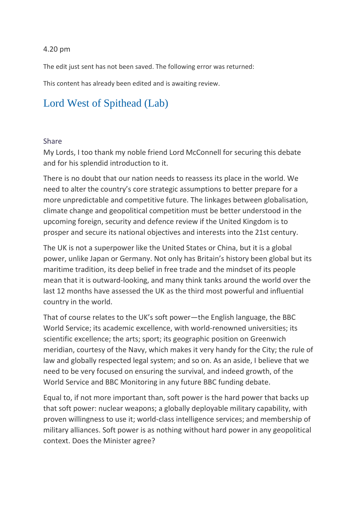### 4.20 pm

The edit just sent has not been saved. The following error was returned:

This content has already been edited and is awaiting review.

# [Lord West of Spithead \(Lab\)](https://hansard.parliament.uk/search/MemberContributions?house=Lords&memberId=3834)

#### [Share](https://hansard.parliament.uk/Lords/2020-01-30/debates/F5BAD536-C010-437B-AAF7-14F8D6DA64C7/DefenceDiplomacyAndDevelopmentPolicy#contribution-FD19BD73-202D-4699-9224-A0B508D0F377)

My Lords, I too thank my noble friend Lord McConnell for securing this debate and for his splendid introduction to it.

There is no doubt that our nation needs to reassess its place in the world. We need to alter the country's core strategic assumptions to better prepare for a more unpredictable and competitive future. The linkages between globalisation, climate change and geopolitical competition must be better understood in the upcoming foreign, security and defence review if the United Kingdom is to prosper and secure its national objectives and interests into the 21st century.

The UK is not a superpower like the United States or China, but it is a global power, unlike Japan or Germany. Not only has Britain's history been global but its maritime tradition, its deep belief in free trade and the mindset of its people mean that it is outward-looking, and many think tanks around the world over the last 12 months have assessed the UK as the third most powerful and influential country in the world.

That of course relates to the UK's soft power—the English language, the BBC World Service; its academic excellence, with world-renowned universities; its scientific excellence; the arts; sport; its geographic position on Greenwich meridian, courtesy of the Navy, which makes it very handy for the City; the rule of law and globally respected legal system; and so on. As an aside, I believe that we need to be very focused on ensuring the survival, and indeed growth, of the World Service and BBC Monitoring in any future BBC funding debate.

Equal to, if not more important than, soft power is the hard power that backs up that soft power: nuclear weapons; a globally deployable military capability, with proven willingness to use it; world-class intelligence services; and membership of military alliances. Soft power is as nothing without hard power in any geopolitical context. Does the Minister agree?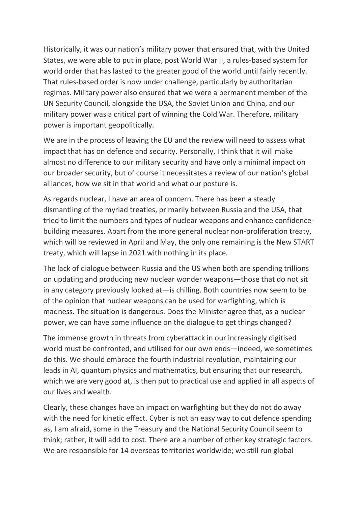Historically, it was our nation's military power that ensured that, with the United States, we were able to put in place, post World War II, a rules-based system for world order that has lasted to the greater good of the world until fairly recently. That rules-based order is now under challenge, particularly by authoritarian regimes. Military power also ensured that we were a permanent member of the UN Security Council, alongside the USA, the Soviet Union and China, and our military power was a critical part of winning the Cold War. Therefore, military power is important geopolitically.

We are in the process of leaving the EU and the review will need to assess what impact that has on defence and security. Personally, I think that it will make almost no difference to our military security and have only a minimal impact on our broader security, but of course it necessitates a review of our nation's global alliances, how we sit in that world and what our posture is.

As regards nuclear, I have an area of concern. There has been a steady dismantling of the myriad treaties, primarily between Russia and the USA, that tried to limit the numbers and types of nuclear weapons and enhance confidencebuilding measures. Apart from the more general nuclear non-proliferation treaty, which will be reviewed in April and May, the only one remaining is the New START treaty, which will lapse in 2021 with nothing in its place.

The lack of dialogue between Russia and the US when both are spending trillions on updating and producing new nuclear wonder weapons—those that do not sit in any category previously looked at—is chilling. Both countries now seem to be of the opinion that nuclear weapons can be used for warfighting, which is madness. The situation is dangerous. Does the Minister agree that, as a nuclear power, we can have some influence on the dialogue to get things changed?

The immense growth in threats from cyberattack in our increasingly digitised world must be confronted, and utilised for our own ends—indeed, we sometimes do this. We should embrace the fourth industrial revolution, maintaining our leads in AI, quantum physics and mathematics, but ensuring that our research, which we are very good at, is then put to practical use and applied in all aspects of our lives and wealth.

Clearly, these changes have an impact on warfighting but they do not do away with the need for kinetic effect. Cyber is not an easy way to cut defence spending as, I am afraid, some in the Treasury and the National Security Council seem to think; rather, it will add to cost. There are a number of other key strategic factors. We are responsible for 14 overseas territories worldwide; we still run global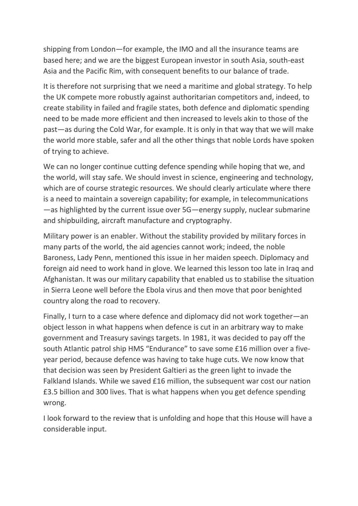shipping from London—for example, the IMO and all the insurance teams are based here; and we are the biggest European investor in south Asia, south-east Asia and the Pacific Rim, with consequent benefits to our balance of trade.

It is therefore not surprising that we need a maritime and global strategy. To help the UK compete more robustly against authoritarian competitors and, indeed, to create stability in failed and fragile states, both defence and diplomatic spending need to be made more efficient and then increased to levels akin to those of the past—as during the Cold War, for example. It is only in that way that we will make the world more stable, safer and all the other things that noble Lords have spoken of trying to achieve.

We can no longer continue cutting defence spending while hoping that we, and the world, will stay safe. We should invest in science, engineering and technology, which are of course strategic resources. We should clearly articulate where there is a need to maintain a sovereign capability; for example, in telecommunications —as highlighted by the current issue over 5G—energy supply, nuclear submarine and shipbuilding, aircraft manufacture and cryptography.

Military power is an enabler. Without the stability provided by military forces in many parts of the world, the aid agencies cannot work; indeed, the noble Baroness, Lady Penn, mentioned this issue in her maiden speech. Diplomacy and foreign aid need to work hand in glove. We learned this lesson too late in Iraq and Afghanistan. It was our military capability that enabled us to stabilise the situation in Sierra Leone well before the Ebola virus and then move that poor benighted country along the road to recovery.

Finally, I turn to a case where defence and diplomacy did not work together—an object lesson in what happens when defence is cut in an arbitrary way to make government and Treasury savings targets. In 1981, it was decided to pay off the south Atlantic patrol ship HMS "Endurance" to save some £16 million over a fiveyear period, because defence was having to take huge cuts. We now know that that decision was seen by President Galtieri as the green light to invade the Falkland Islands. While we saved £16 million, the subsequent war cost our nation £3.5 billion and 300 lives. That is what happens when you get defence spending wrong.

I look forward to the review that is unfolding and hope that this House will have a considerable input.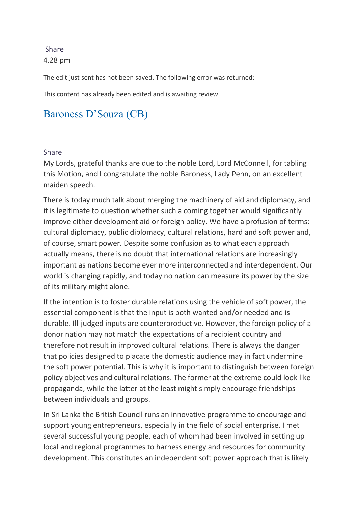### [Share](https://hansard.parliament.uk/Lords/2020-01-30/debates/F5BAD536-C010-437B-AAF7-14F8D6DA64C7/DefenceDiplomacyAndDevelopmentPolicy#contribution-FD19BD73-202D-4699-9224-A0B508D0F377)  4.28 pm

The edit just sent has not been saved. The following error was returned:

This content has already been edited and is awaiting review.

## [Baroness D'Souza \(CB\)](https://hansard.parliament.uk/search/MemberContributions?house=Lords&memberId=3709)

#### [Share](https://hansard.parliament.uk/Lords/2020-01-30/debates/F5BAD536-C010-437B-AAF7-14F8D6DA64C7/DefenceDiplomacyAndDevelopmentPolicy#contribution-ACA47FDC-AD46-480D-856A-55ECC40ED4A0)

My Lords, grateful thanks are due to the noble Lord, Lord McConnell, for tabling this Motion, and I congratulate the noble Baroness, Lady Penn, on an excellent maiden speech.

There is today much talk about merging the machinery of aid and diplomacy, and it is legitimate to question whether such a coming together would significantly improve either development aid or foreign policy. We have a profusion of terms: cultural diplomacy, public diplomacy, cultural relations, hard and soft power and, of course, smart power. Despite some confusion as to what each approach actually means, there is no doubt that international relations are increasingly important as nations become ever more interconnected and interdependent. Our world is changing rapidly, and today no nation can measure its power by the size of its military might alone.

If the intention is to foster durable relations using the vehicle of soft power, the essential component is that the input is both wanted and/or needed and is durable. Ill-judged inputs are counterproductive. However, the foreign policy of a donor nation may not match the expectations of a recipient country and therefore not result in improved cultural relations. There is always the danger that policies designed to placate the domestic audience may in fact undermine the soft power potential. This is why it is important to distinguish between foreign policy objectives and cultural relations. The former at the extreme could look like propaganda, while the latter at the least might simply encourage friendships between individuals and groups.

In Sri Lanka the British Council runs an innovative programme to encourage and support young entrepreneurs, especially in the field of social enterprise. I met several successful young people, each of whom had been involved in setting up local and regional programmes to harness energy and resources for community development. This constitutes an independent soft power approach that is likely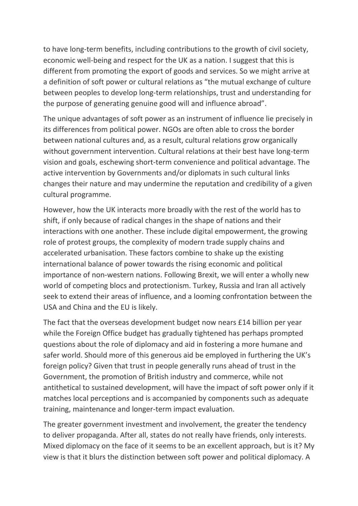to have long-term benefits, including contributions to the growth of civil society, economic well-being and respect for the UK as a nation. I suggest that this is different from promoting the export of goods and services. So we might arrive at a definition of soft power or cultural relations as "the mutual exchange of culture between peoples to develop long-term relationships, trust and understanding for the purpose of generating genuine good will and influence abroad".

The unique advantages of soft power as an instrument of influence lie precisely in its differences from political power. NGOs are often able to cross the border between national cultures and, as a result, cultural relations grow organically without government intervention. Cultural relations at their best have long-term vision and goals, eschewing short-term convenience and political advantage. The active intervention by Governments and/or diplomats in such cultural links changes their nature and may undermine the reputation and credibility of a given cultural programme.

However, how the UK interacts more broadly with the rest of the world has to shift, if only because of radical changes in the shape of nations and their interactions with one another. These include digital empowerment, the growing role of protest groups, the complexity of modern trade supply chains and accelerated urbanisation. These factors combine to shake up the existing international balance of power towards the rising economic and political importance of non-western nations. Following Brexit, we will enter a wholly new world of competing blocs and protectionism. Turkey, Russia and Iran all actively seek to extend their areas of influence, and a looming confrontation between the USA and China and the EU is likely.

The fact that the overseas development budget now nears £14 billion per year while the Foreign Office budget has gradually tightened has perhaps prompted questions about the role of diplomacy and aid in fostering a more humane and safer world. Should more of this generous aid be employed in furthering the UK's foreign policy? Given that trust in people generally runs ahead of trust in the Government, the promotion of British industry and commerce, while not antithetical to sustained development, will have the impact of soft power only if it matches local perceptions and is accompanied by components such as adequate training, maintenance and longer-term impact evaluation.

The greater government investment and involvement, the greater the tendency to deliver propaganda. After all, states do not really have friends, only interests. Mixed diplomacy on the face of it seems to be an excellent approach, but is it? My view is that it blurs the distinction between soft power and political diplomacy. A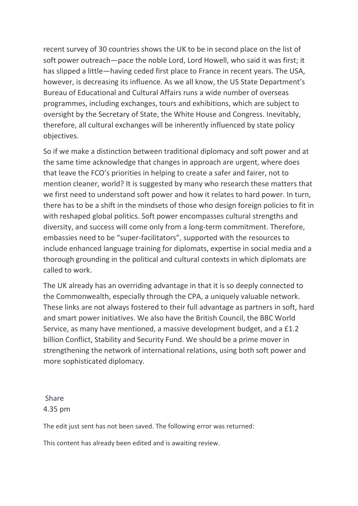recent survey of 30 countries shows the UK to be in second place on the list of soft power outreach—pace the noble Lord, Lord Howell, who said it was first; it has slipped a little—having ceded first place to France in recent years. The USA, however, is decreasing its influence. As we all know, the US State Department's Bureau of Educational and Cultural Affairs runs a wide number of overseas programmes, including exchanges, tours and exhibitions, which are subject to oversight by the Secretary of State, the White House and Congress. Inevitably, therefore, all cultural exchanges will be inherently influenced by state policy objectives.

So if we make a distinction between traditional diplomacy and soft power and at the same time acknowledge that changes in approach are urgent, where does that leave the FCO's priorities in helping to create a safer and fairer, not to mention cleaner, world? It is suggested by many who research these matters that we first need to understand soft power and how it relates to hard power. In turn, there has to be a shift in the mindsets of those who design foreign policies to fit in with reshaped global politics. Soft power encompasses cultural strengths and diversity, and success will come only from a long-term commitment. Therefore, embassies need to be "super-facilitators", supported with the resources to include enhanced language training for diplomats, expertise in social media and a thorough grounding in the political and cultural contexts in which diplomats are called to work.

The UK already has an overriding advantage in that it is so deeply connected to the Commonwealth, especially through the CPA, a uniquely valuable network. These links are not always fostered to their full advantage as partners in soft, hard and smart power initiatives. We also have the British Council, the BBC World Service, as many have mentioned, a massive development budget, and a £1.2 billion Conflict, Stability and Security Fund. We should be a prime mover in strengthening the network of international relations, using both soft power and more sophisticated diplomacy.

### [Share](https://hansard.parliament.uk/Lords/2020-01-30/debates/F5BAD536-C010-437B-AAF7-14F8D6DA64C7/DefenceDiplomacyAndDevelopmentPolicy#contribution-ACA47FDC-AD46-480D-856A-55ECC40ED4A0)  4.35 pm

The edit just sent has not been saved. The following error was returned:

This content has already been edited and is awaiting review.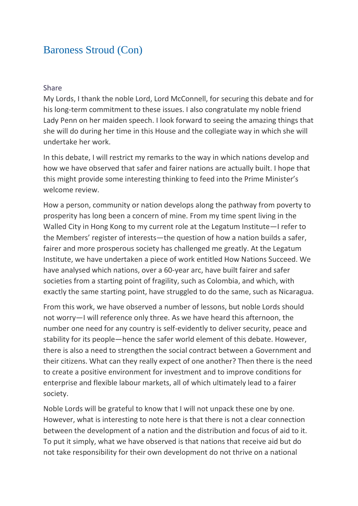### [Baroness Stroud \(Con\)](https://hansard.parliament.uk/search/MemberContributions?house=Lords&memberId=4546)

#### [Share](https://hansard.parliament.uk/Lords/2020-01-30/debates/F5BAD536-C010-437B-AAF7-14F8D6DA64C7/DefenceDiplomacyAndDevelopmentPolicy#contribution-00FBF317-1B79-482B-AEAD-C02515C29775)

My Lords, I thank the noble Lord, Lord McConnell, for securing this debate and for his long-term commitment to these issues. I also congratulate my noble friend Lady Penn on her maiden speech. I look forward to seeing the amazing things that she will do during her time in this House and the collegiate way in which she will undertake her work.

In this debate, I will restrict my remarks to the way in which nations develop and how we have observed that safer and fairer nations are actually built. I hope that this might provide some interesting thinking to feed into the Prime Minister's welcome review.

How a person, community or nation develops along the pathway from poverty to prosperity has long been a concern of mine. From my time spent living in the Walled City in Hong Kong to my current role at the Legatum Institute—I refer to the Members' register of interests—the question of how a nation builds a safer, fairer and more prosperous society has challenged me greatly. At the Legatum Institute, we have undertaken a piece of work entitled How Nations Succeed. We have analysed which nations, over a 60-year arc, have built fairer and safer societies from a starting point of fragility, such as Colombia, and which, with exactly the same starting point, have struggled to do the same, such as Nicaragua.

From this work, we have observed a number of lessons, but noble Lords should not worry—I will reference only three. As we have heard this afternoon, the number one need for any country is self-evidently to deliver security, peace and stability for its people—hence the safer world element of this debate. However, there is also a need to strengthen the social contract between a Government and their citizens. What can they really expect of one another? Then there is the need to create a positive environment for investment and to improve conditions for enterprise and flexible labour markets, all of which ultimately lead to a fairer society.

Noble Lords will be grateful to know that I will not unpack these one by one. However, what is interesting to note here is that there is not a clear connection between the development of a nation and the distribution and focus of aid to it. To put it simply, what we have observed is that nations that receive aid but do not take responsibility for their own development do not thrive on a national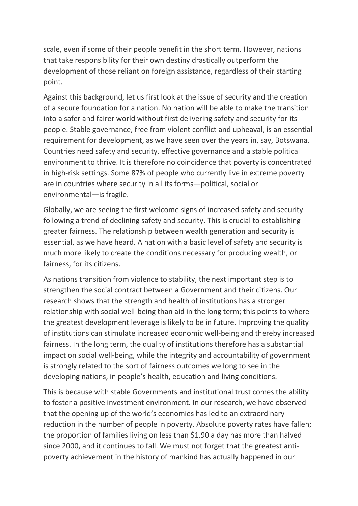scale, even if some of their people benefit in the short term. However, nations that take responsibility for their own destiny drastically outperform the development of those reliant on foreign assistance, regardless of their starting point.

Against this background, let us first look at the issue of security and the creation of a secure foundation for a nation. No nation will be able to make the transition into a safer and fairer world without first delivering safety and security for its people. Stable governance, free from violent conflict and upheaval, is an essential requirement for development, as we have seen over the years in, say, Botswana. Countries need safety and security, effective governance and a stable political environment to thrive. It is therefore no coincidence that poverty is concentrated in high-risk settings. Some 87% of people who currently live in extreme poverty are in countries where security in all its forms—political, social or environmental—is fragile.

Globally, we are seeing the first welcome signs of increased safety and security following a trend of declining safety and security. This is crucial to establishing greater fairness. The relationship between wealth generation and security is essential, as we have heard. A nation with a basic level of safety and security is much more likely to create the conditions necessary for producing wealth, or fairness, for its citizens.

As nations transition from violence to stability, the next important step is to strengthen the social contract between a Government and their citizens. Our research shows that the strength and health of institutions has a stronger relationship with social well-being than aid in the long term; this points to where the greatest development leverage is likely to be in future. Improving the quality of institutions can stimulate increased economic well-being and thereby increased fairness. In the long term, the quality of institutions therefore has a substantial impact on social well-being, while the integrity and accountability of government is strongly related to the sort of fairness outcomes we long to see in the developing nations, in people's health, education and living conditions.

This is because with stable Governments and institutional trust comes the ability to foster a positive investment environment. In our research, we have observed that the opening up of the world's economies has led to an extraordinary reduction in the number of people in poverty. Absolute poverty rates have fallen; the proportion of families living on less than \$1.90 a day has more than halved since 2000, and it continues to fall. We must not forget that the greatest antipoverty achievement in the history of mankind has actually happened in our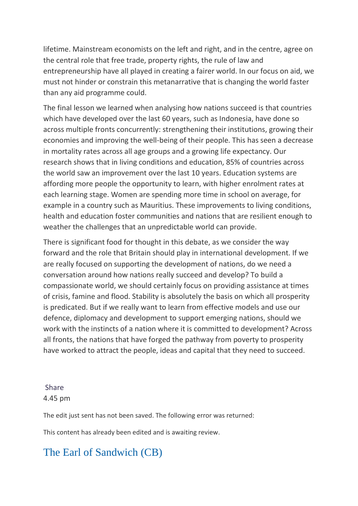lifetime. Mainstream economists on the left and right, and in the centre, agree on the central role that free trade, property rights, the rule of law and entrepreneurship have all played in creating a fairer world. In our focus on aid, we must not hinder or constrain this metanarrative that is changing the world faster than any aid programme could.

The final lesson we learned when analysing how nations succeed is that countries which have developed over the last 60 years, such as Indonesia, have done so across multiple fronts concurrently: strengthening their institutions, growing their economies and improving the well-being of their people. This has seen a decrease in mortality rates across all age groups and a growing life expectancy. Our research shows that in living conditions and education, 85% of countries across the world saw an improvement over the last 10 years. Education systems are affording more people the opportunity to learn, with higher enrolment rates at each learning stage. Women are spending more time in school on average, for example in a country such as Mauritius. These improvements to living conditions, health and education foster communities and nations that are resilient enough to weather the challenges that an unpredictable world can provide.

There is significant food for thought in this debate, as we consider the way forward and the role that Britain should play in international development. If we are really focused on supporting the development of nations, do we need a conversation around how nations really succeed and develop? To build a compassionate world, we should certainly focus on providing assistance at times of crisis, famine and flood. Stability is absolutely the basis on which all prosperity is predicated. But if we really want to learn from effective models and use our defence, diplomacy and development to support emerging nations, should we work with the instincts of a nation where it is committed to development? Across all fronts, the nations that have forged the pathway from poverty to prosperity have worked to attract the people, ideas and capital that they need to succeed.

### [Share](https://hansard.parliament.uk/Lords/2020-01-30/debates/F5BAD536-C010-437B-AAF7-14F8D6DA64C7/DefenceDiplomacyAndDevelopmentPolicy#contribution-00FBF317-1B79-482B-AEAD-C02515C29775)  4.45 pm

The edit just sent has not been saved. The following error was returned:

This content has already been edited and is awaiting review.

## [The Earl of Sandwich \(CB\)](https://hansard.parliament.uk/search/MemberContributions?house=Lords&memberId=2109)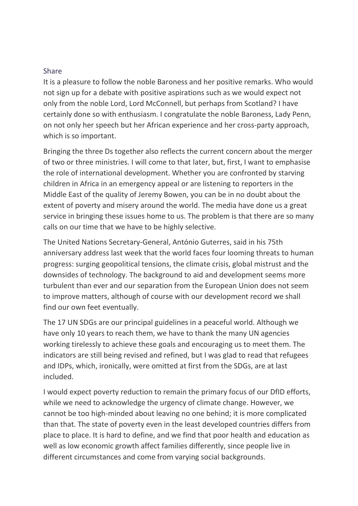### [Share](https://hansard.parliament.uk/Lords/2020-01-30/debates/F5BAD536-C010-437B-AAF7-14F8D6DA64C7/DefenceDiplomacyAndDevelopmentPolicy#contribution-A6EDE9C6-F80B-421D-8C78-604600361196)

It is a pleasure to follow the noble Baroness and her positive remarks. Who would not sign up for a debate with positive aspirations such as we would expect not only from the noble Lord, Lord McConnell, but perhaps from Scotland? I have certainly done so with enthusiasm. I congratulate the noble Baroness, Lady Penn, on not only her speech but her African experience and her cross-party approach, which is so important.

Bringing the three Ds together also reflects the current concern about the merger of two or three ministries. I will come to that later, but, first, I want to emphasise the role of international development. Whether you are confronted by starving children in Africa in an emergency appeal or are listening to reporters in the Middle East of the quality of Jeremy Bowen, you can be in no doubt about the extent of poverty and misery around the world. The media have done us a great service in bringing these issues home to us. The problem is that there are so many calls on our time that we have to be highly selective.

The United Nations Secretary-General, António Guterres, said in his 75th anniversary address last week that the world faces four looming threats to human progress: surging geopolitical tensions, the climate crisis, global mistrust and the downsides of technology. The background to aid and development seems more turbulent than ever and our separation from the European Union does not seem to improve matters, although of course with our development record we shall find our own feet eventually.

The 17 UN SDGs are our principal guidelines in a peaceful world. Although we have only 10 years to reach them, we have to thank the many UN agencies working tirelessly to achieve these goals and encouraging us to meet them. The indicators are still being revised and refined, but I was glad to read that refugees and IDPs, which, ironically, were omitted at first from the SDGs, are at last included.

I would expect poverty reduction to remain the primary focus of our DfID efforts, while we need to acknowledge the urgency of climate change. However, we cannot be too high-minded about leaving no one behind; it is more complicated than that. The state of poverty even in the least developed countries differs from place to place. It is hard to define, and we find that poor health and education as well as low economic growth affect families differently, since people live in different circumstances and come from varying social backgrounds.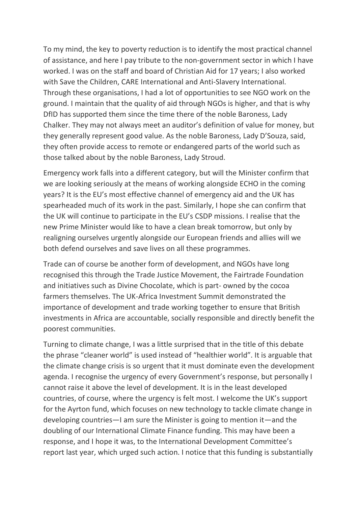To my mind, the key to poverty reduction is to identify the most practical channel of assistance, and here I pay tribute to the non-government sector in which I have worked. I was on the staff and board of Christian Aid for 17 years; I also worked with Save the Children, CARE International and Anti-Slavery International. Through these organisations, I had a lot of opportunities to see NGO work on the ground. I maintain that the quality of aid through NGOs is higher, and that is why DfID has supported them since the time there of the noble Baroness, Lady Chalker. They may not always meet an auditor's definition of value for money, but they generally represent good value. As the noble Baroness, Lady D'Souza, said, they often provide access to remote or endangered parts of the world such as those talked about by the noble Baroness, Lady Stroud.

Emergency work falls into a different category, but will the Minister confirm that we are looking seriously at the means of working alongside ECHO in the coming years? It is the EU's most effective channel of emergency aid and the UK has spearheaded much of its work in the past. Similarly, I hope she can confirm that the UK will continue to participate in the EU's CSDP missions. I realise that the new Prime Minister would like to have a clean break tomorrow, but only by realigning ourselves urgently alongside our European friends and allies will we both defend ourselves and save lives on all these programmes.

Trade can of course be another form of development, and NGOs have long recognised this through the Trade Justice Movement, the Fairtrade Foundation and initiatives such as Divine Chocolate, which is part- owned by the cocoa farmers themselves. The UK-Africa Investment Summit demonstrated the importance of development and trade working together to ensure that British investments in Africa are accountable, socially responsible and directly benefit the poorest communities.

Turning to climate change, I was a little surprised that in the title of this debate the phrase "cleaner world" is used instead of "healthier world". It is arguable that the climate change crisis is so urgent that it must dominate even the development agenda. I recognise the urgency of every Government's response, but personally I cannot raise it above the level of development. It is in the least developed countries, of course, where the urgency is felt most. I welcome the UK's support for the Ayrton fund, which focuses on new technology to tackle climate change in developing countries—I am sure the Minister is going to mention it—and the doubling of our International Climate Finance funding. This may have been a response, and I hope it was, to the International Development Committee's report last year, which urged such action. I notice that this funding is substantially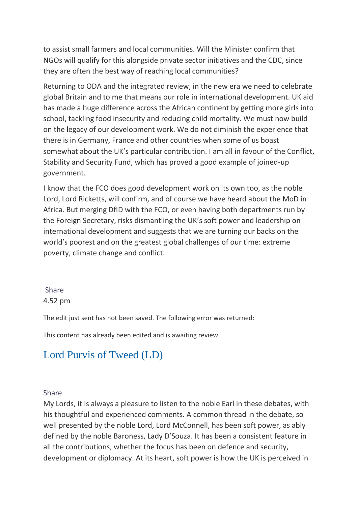to assist small farmers and local communities. Will the Minister confirm that NGOs will qualify for this alongside private sector initiatives and the CDC, since they are often the best way of reaching local communities?

Returning to ODA and the integrated review, in the new era we need to celebrate global Britain and to me that means our role in international development. UK aid has made a huge difference across the African continent by getting more girls into school, tackling food insecurity and reducing child mortality. We must now build on the legacy of our development work. We do not diminish the experience that there is in Germany, France and other countries when some of us boast somewhat about the UK's particular contribution. I am all in favour of the Conflict, Stability and Security Fund, which has proved a good example of joined-up government.

I know that the FCO does good development work on its own too, as the noble Lord, Lord Ricketts, will confirm, and of course we have heard about the MoD in Africa. But merging DfID with the FCO, or even having both departments run by the Foreign Secretary, risks dismantling the UK's soft power and leadership on international development and suggests that we are turning our backs on the world's poorest and on the greatest global challenges of our time: extreme poverty, climate change and conflict.

### [Share](https://hansard.parliament.uk/Lords/2020-01-30/debates/F5BAD536-C010-437B-AAF7-14F8D6DA64C7/DefenceDiplomacyAndDevelopmentPolicy#contribution-A6EDE9C6-F80B-421D-8C78-604600361196)  4.52 pm

The edit just sent has not been saved. The following error was returned:

This content has already been edited and is awaiting review.

# [Lord Purvis of Tweed \(LD\)](https://hansard.parliament.uk/search/MemberContributions?house=Lords&memberId=4293)

### [Share](https://hansard.parliament.uk/Lords/2020-01-30/debates/F5BAD536-C010-437B-AAF7-14F8D6DA64C7/DefenceDiplomacyAndDevelopmentPolicy#contribution-E823CEBA-7F59-4123-A946-6ED78D276CE0)

My Lords, it is always a pleasure to listen to the noble Earl in these debates, with his thoughtful and experienced comments. A common thread in the debate, so well presented by the noble Lord, Lord McConnell, has been soft power, as ably defined by the noble Baroness, Lady D'Souza. It has been a consistent feature in all the contributions, whether the focus has been on defence and security, development or diplomacy. At its heart, soft power is how the UK is perceived in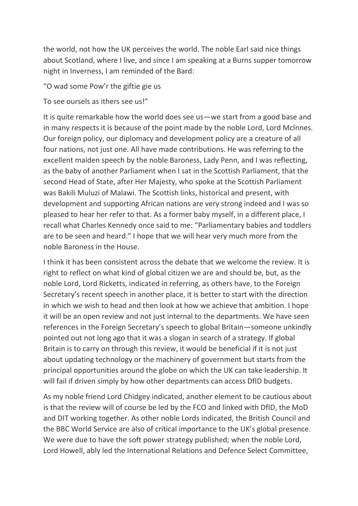the world, not how the UK perceives the world. The noble Earl said nice things about Scotland, where I live, and since I am speaking at a Burns supper tomorrow night in Inverness, I am reminded of the Bard:

"O wad some Pow'r the giftie gie us

To see oursels as ithers see us!"

It is quite remarkable how the world does see us—we start from a good base and in many respects it is because of the point made by the noble Lord, Lord McInnes. Our foreign policy, our diplomacy and development policy are a creature of all four nations, not just one. All have made contributions. He was referring to the excellent maiden speech by the noble Baroness, Lady Penn, and I was reflecting, as the baby of another Parliament when I sat in the Scottish Parliament, that the second Head of State, after Her Majesty, who spoke at the Scottish Parliament was Bakili Muluzi of Malawi. The Scottish links, historical and present, with development and supporting African nations are very strong indeed and I was so pleased to hear her refer to that. As a former baby myself, in a different place, I recall what Charles Kennedy once said to me: "Parliamentary babies and toddlers are to be seen and heard." I hope that we will hear very much more from the noble Baroness in the House.

I think it has been consistent across the debate that we welcome the review. It is right to reflect on what kind of global citizen we are and should be, but, as the noble Lord, Lord Ricketts, indicated in referring, as others have, to the Foreign Secretary's recent speech in another place, it is better to start with the direction in which we wish to head and then look at how we achieve that ambition. I hope it will be an open review and not just internal to the departments. We have seen references in the Foreign Secretary's speech to global Britain—someone unkindly pointed out not long ago that it was a slogan in search of a strategy. If global Britain is to carry on through this review, it would be beneficial if it is not just about updating technology or the machinery of government but starts from the principal opportunities around the globe on which the UK can take leadership. It will fail if driven simply by how other departments can access DfID budgets.

As my noble friend Lord Chidgey indicated, another element to be cautious about is that the review will of course be led by the FCO and linked with DfID, the MoD and DIT working together. As other noble Lords indicated, the British Council and the BBC World Service are also of critical importance to the UK's global presence. We were due to have the soft power strategy published; when the noble Lord, Lord Howell, ably led the International Relations and Defence Select Committee,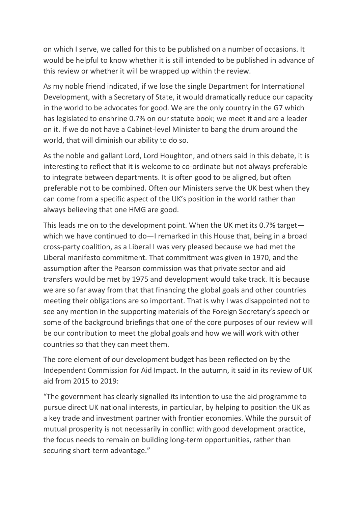on which I serve, we called for this to be published on a number of occasions. It would be helpful to know whether it is still intended to be published in advance of this review or whether it will be wrapped up within the review.

As my noble friend indicated, if we lose the single Department for International Development, with a Secretary of State, it would dramatically reduce our capacity in the world to be advocates for good. We are the only country in the G7 which has legislated to enshrine 0.7% on our statute book; we meet it and are a leader on it. If we do not have a Cabinet-level Minister to bang the drum around the world, that will diminish our ability to do so.

As the noble and gallant Lord, Lord Houghton, and others said in this debate, it is interesting to reflect that it is welcome to co-ordinate but not always preferable to integrate between departments. It is often good to be aligned, but often preferable not to be combined. Often our Ministers serve the UK best when they can come from a specific aspect of the UK's position in the world rather than always believing that one HMG are good.

This leads me on to the development point. When the UK met its 0.7% target which we have continued to do—I remarked in this House that, being in a broad cross-party coalition, as a Liberal I was very pleased because we had met the Liberal manifesto commitment. That commitment was given in 1970, and the assumption after the Pearson commission was that private sector and aid transfers would be met by 1975 and development would take track. It is because we are so far away from that that financing the global goals and other countries meeting their obligations are so important. That is why I was disappointed not to see any mention in the supporting materials of the Foreign Secretary's speech or some of the background briefings that one of the core purposes of our review will be our contribution to meet the global goals and how we will work with other countries so that they can meet them.

The core element of our development budget has been reflected on by the Independent Commission for Aid Impact. In the autumn, it said in its review of UK aid from 2015 to 2019:

"The government has clearly signalled its intention to use the aid programme to pursue direct UK national interests, in particular, by helping to position the UK as a key trade and investment partner with frontier economies. While the pursuit of mutual prosperity is not necessarily in conflict with good development practice, the focus needs to remain on building long-term opportunities, rather than securing short-term advantage."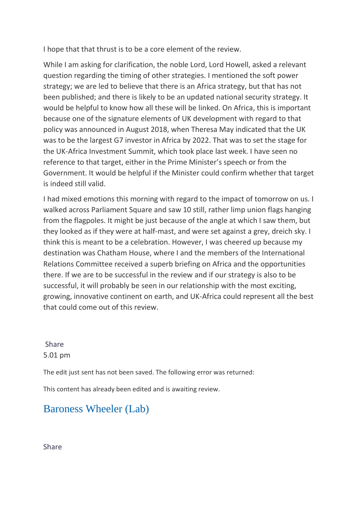I hope that that thrust is to be a core element of the review.

While I am asking for clarification, the noble Lord, Lord Howell, asked a relevant question regarding the timing of other strategies. I mentioned the soft power strategy; we are led to believe that there is an Africa strategy, but that has not been published; and there is likely to be an updated national security strategy. It would be helpful to know how all these will be linked. On Africa, this is important because one of the signature elements of UK development with regard to that policy was announced in August 2018, when Theresa May indicated that the UK was to be the largest G7 investor in Africa by 2022. That was to set the stage for the UK-Africa Investment Summit, which took place last week. I have seen no reference to that target, either in the Prime Minister's speech or from the Government. It would be helpful if the Minister could confirm whether that target is indeed still valid.

I had mixed emotions this morning with regard to the impact of tomorrow on us. I walked across Parliament Square and saw 10 still, rather limp union flags hanging from the flagpoles. It might be just because of the angle at which I saw them, but they looked as if they were at half-mast, and were set against a grey, dreich sky. I think this is meant to be a celebration. However, I was cheered up because my destination was Chatham House, where I and the members of the International Relations Committee received a superb briefing on Africa and the opportunities there. If we are to be successful in the review and if our strategy is also to be successful, it will probably be seen in our relationship with the most exciting, growing, innovative continent on earth, and UK-Africa could represent all the best that could come out of this review.

[Share](https://hansard.parliament.uk/Lords/2020-01-30/debates/F5BAD536-C010-437B-AAF7-14F8D6DA64C7/DefenceDiplomacyAndDevelopmentPolicy#contribution-E823CEBA-7F59-4123-A946-6ED78D276CE0)  5.01 pm

The edit just sent has not been saved. The following error was returned:

This content has already been edited and is awaiting review.

## [Baroness Wheeler \(Lab\)](https://hansard.parliament.uk/search/MemberContributions?house=Lords&memberId=4157)

[Share](https://hansard.parliament.uk/Lords/2020-01-30/debates/F5BAD536-C010-437B-AAF7-14F8D6DA64C7/DefenceDiplomacyAndDevelopmentPolicy#contribution-50E80DD4-6CFC-4142-8918-5CA4701CC2C8)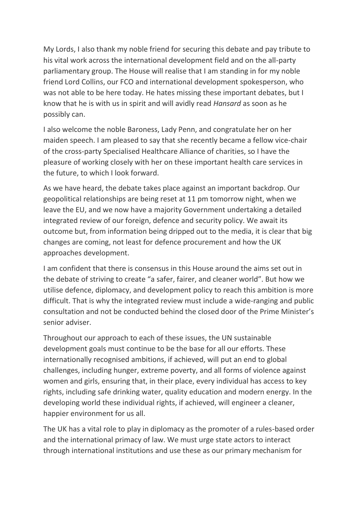My Lords, I also thank my noble friend for securing this debate and pay tribute to his vital work across the international development field and on the all-party parliamentary group. The House will realise that I am standing in for my noble friend Lord Collins, our FCO and international development spokesperson, who was not able to be here today. He hates missing these important debates, but I know that he is with us in spirit and will avidly read *Hansard* as soon as he possibly can.

I also welcome the noble Baroness, Lady Penn, and congratulate her on her maiden speech. I am pleased to say that she recently became a fellow vice-chair of the cross-party Specialised Healthcare Alliance of charities, so I have the pleasure of working closely with her on these important health care services in the future, to which I look forward.

As we have heard, the debate takes place against an important backdrop. Our geopolitical relationships are being reset at 11 pm tomorrow night, when we leave the EU, and we now have a majority Government undertaking a detailed integrated review of our foreign, defence and security policy. We await its outcome but, from information being dripped out to the media, it is clear that big changes are coming, not least for defence procurement and how the UK approaches development.

I am confident that there is consensus in this House around the aims set out in the debate of striving to create "a safer, fairer, and cleaner world". But how we utilise defence, diplomacy, and development policy to reach this ambition is more difficult. That is why the integrated review must include a wide-ranging and public consultation and not be conducted behind the closed door of the Prime Minister's senior adviser.

Throughout our approach to each of these issues, the UN sustainable development goals must continue to be the base for all our efforts. These internationally recognised ambitions, if achieved, will put an end to global challenges, including hunger, extreme poverty, and all forms of violence against women and girls, ensuring that, in their place, every individual has access to key rights, including safe drinking water, quality education and modern energy. In the developing world these individual rights, if achieved, will engineer a cleaner, happier environment for us all.

The UK has a vital role to play in diplomacy as the promoter of a rules-based order and the international primacy of law. We must urge state actors to interact through international institutions and use these as our primary mechanism for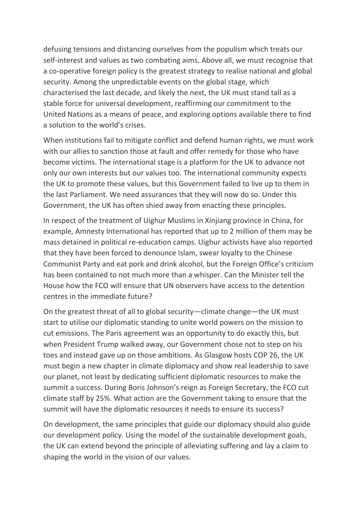defusing tensions and distancing ourselves from the populism which treats our self-interest and values as two combating aims. Above all, we must recognise that a co-operative foreign policy is the greatest strategy to realise national and global security. Among the unpredictable events on the global stage, which characterised the last decade, and likely the next, the UK must stand tall as a stable force for universal development, reaffirming our commitment to the United Nations as a means of peace, and exploring options available there to find a solution to the world's crises.

When institutions fail to mitigate conflict and defend human rights, we must work with our allies to sanction those at fault and offer remedy for those who have become victims. The international stage is a platform for the UK to advance not only our own interests but our values too. The international community expects the UK to promote these values, but this Government failed to live up to them in the last Parliament. We need assurances that they will now do so. Under this Government, the UK has often shied away from enacting these principles.

In respect of the treatment of Uighur Muslims in Xinjiang province in China, for example, Amnesty International has reported that up to 2 million of them may be mass detained in political re-education camps. Uighur activists have also reported that they have been forced to denounce Islam, swear loyalty to the Chinese Communist Party and eat pork and drink alcohol, but the Foreign Office's criticism has been contained to not much more than a whisper. Can the Minister tell the House how the FCO will ensure that UN observers have access to the detention centres in the immediate future?

On the greatest threat of all to global security—climate change—the UK must start to utilise our diplomatic standing to unite world powers on the mission to cut emissions. The Paris agreement was an opportunity to do exactly this, but when President Trump walked away, our Government chose not to step on his toes and instead gave up on those ambitions. As Glasgow hosts COP 26, the UK must begin a new chapter in climate diplomacy and show real leadership to save our planet, not least by dedicating sufficient diplomatic resources to make the summit a success. During Boris Johnson's reign as Foreign Secretary, the FCO cut climate staff by 25%. What action are the Government taking to ensure that the summit will have the diplomatic resources it needs to ensure its success?

On development, the same principles that guide our diplomacy should also guide our development policy. Using the model of the sustainable development goals, the UK can extend beyond the principle of alleviating suffering and lay a claim to shaping the world in the vision of our values.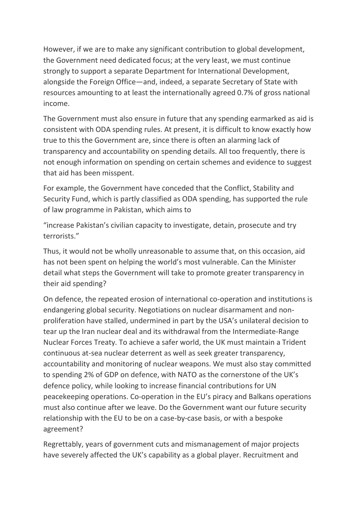However, if we are to make any significant contribution to global development, the Government need dedicated focus; at the very least, we must continue strongly to support a separate Department for International Development, alongside the Foreign Office—and, indeed, a separate Secretary of State with resources amounting to at least the internationally agreed 0.7% of gross national income.

The Government must also ensure in future that any spending earmarked as aid is consistent with ODA spending rules. At present, it is difficult to know exactly how true to this the Government are, since there is often an alarming lack of transparency and accountability on spending details. All too frequently, there is not enough information on spending on certain schemes and evidence to suggest that aid has been misspent.

For example, the Government have conceded that the Conflict, Stability and Security Fund, which is partly classified as ODA spending, has supported the rule of law programme in Pakistan, which aims to

"increase Pakistan's civilian capacity to investigate, detain, prosecute and try terrorists."

Thus, it would not be wholly unreasonable to assume that, on this occasion, aid has not been spent on helping the world's most vulnerable. Can the Minister detail what steps the Government will take to promote greater transparency in their aid spending?

On defence, the repeated erosion of international co-operation and institutions is endangering global security. Negotiations on nuclear disarmament and nonproliferation have stalled, undermined in part by the USA's unilateral decision to tear up the Iran nuclear deal and its withdrawal from the Intermediate-Range Nuclear Forces Treaty. To achieve a safer world, the UK must maintain a Trident continuous at-sea nuclear deterrent as well as seek greater transparency, accountability and monitoring of nuclear weapons. We must also stay committed to spending 2% of GDP on defence, with NATO as the cornerstone of the UK's defence policy, while looking to increase financial contributions for UN peacekeeping operations. Co-operation in the EU's piracy and Balkans operations must also continue after we leave. Do the Government want our future security relationship with the EU to be on a case-by-case basis, or with a bespoke agreement?

Regrettably, years of government cuts and mismanagement of major projects have severely affected the UK's capability as a global player. Recruitment and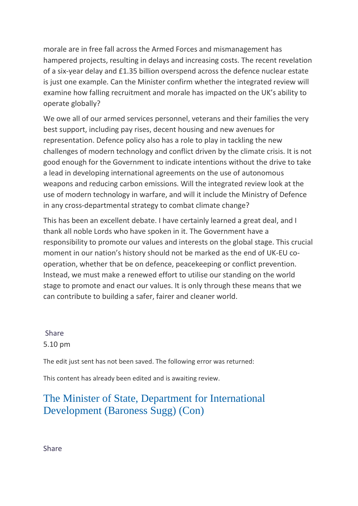morale are in free fall across the Armed Forces and mismanagement has hampered projects, resulting in delays and increasing costs. The recent revelation of a six-year delay and £1.35 billion overspend across the defence nuclear estate is just one example. Can the Minister confirm whether the integrated review will examine how falling recruitment and morale has impacted on the UK's ability to operate globally?

We owe all of our armed services personnel, veterans and their families the very best support, including pay rises, decent housing and new avenues for representation. Defence policy also has a role to play in tackling the new challenges of modern technology and conflict driven by the climate crisis. It is not good enough for the Government to indicate intentions without the drive to take a lead in developing international agreements on the use of autonomous weapons and reducing carbon emissions. Will the integrated review look at the use of modern technology in warfare, and will it include the Ministry of Defence in any cross-departmental strategy to combat climate change?

This has been an excellent debate. I have certainly learned a great deal, and I thank all noble Lords who have spoken in it. The Government have a responsibility to promote our values and interests on the global stage. This crucial moment in our nation's history should not be marked as the end of UK-EU cooperation, whether that be on defence, peacekeeping or conflict prevention. Instead, we must make a renewed effort to utilise our standing on the world stage to promote and enact our values. It is only through these means that we can contribute to building a safer, fairer and cleaner world.

[Share](https://hansard.parliament.uk/Lords/2020-01-30/debates/F5BAD536-C010-437B-AAF7-14F8D6DA64C7/DefenceDiplomacyAndDevelopmentPolicy#contribution-50E80DD4-6CFC-4142-8918-5CA4701CC2C8)  5.10 pm

The edit just sent has not been saved. The following error was returned:

This content has already been edited and is awaiting review.

### [The Minister of State, Department for International](https://hansard.parliament.uk/search/MemberContributions?house=Lords&memberId=4584)  [Development \(Baroness Sugg\) \(Con\)](https://hansard.parliament.uk/search/MemberContributions?house=Lords&memberId=4584)

[Share](https://hansard.parliament.uk/Lords/2020-01-30/debates/F5BAD536-C010-437B-AAF7-14F8D6DA64C7/DefenceDiplomacyAndDevelopmentPolicy#contribution-70D1DE1E-11A5-464B-BC93-51B358471A3B)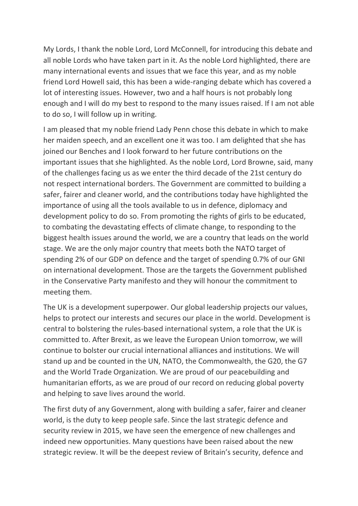My Lords, I thank the noble Lord, Lord McConnell, for introducing this debate and all noble Lords who have taken part in it. As the noble Lord highlighted, there are many international events and issues that we face this year, and as my noble friend Lord Howell said, this has been a wide-ranging debate which has covered a lot of interesting issues. However, two and a half hours is not probably long enough and I will do my best to respond to the many issues raised. If I am not able to do so, I will follow up in writing.

I am pleased that my noble friend Lady Penn chose this debate in which to make her maiden speech, and an excellent one it was too. I am delighted that she has joined our Benches and I look forward to her future contributions on the important issues that she highlighted. As the noble Lord, Lord Browne, said, many of the challenges facing us as we enter the third decade of the 21st century do not respect international borders. The Government are committed to building a safer, fairer and cleaner world, and the contributions today have highlighted the importance of using all the tools available to us in defence, diplomacy and development policy to do so. From promoting the rights of girls to be educated, to combating the devastating effects of climate change, to responding to the biggest health issues around the world, we are a country that leads on the world stage. We are the only major country that meets both the NATO target of spending 2% of our GDP on defence and the target of spending 0.7% of our GNI on international development. Those are the targets the Government published in the Conservative Party manifesto and they will honour the commitment to meeting them.

The UK is a development superpower. Our global leadership projects our values, helps to protect our interests and secures our place in the world. Development is central to bolstering the rules-based international system, a role that the UK is committed to. After Brexit, as we leave the European Union tomorrow, we will continue to bolster our crucial international alliances and institutions. We will stand up and be counted in the UN, NATO, the Commonwealth, the G20, the G7 and the World Trade Organization. We are proud of our peacebuilding and humanitarian efforts, as we are proud of our record on reducing global poverty and helping to save lives around the world.

The first duty of any Government, along with building a safer, fairer and cleaner world, is the duty to keep people safe. Since the last strategic defence and security review in 2015, we have seen the emergence of new challenges and indeed new opportunities. Many questions have been raised about the new strategic review. It will be the deepest review of Britain's security, defence and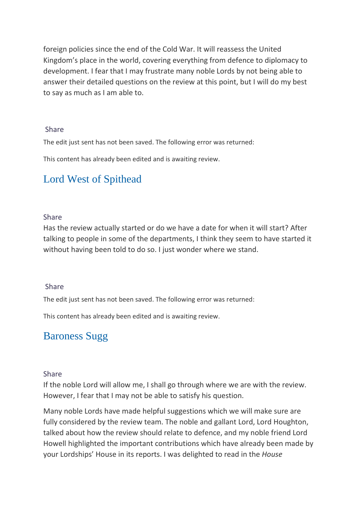foreign policies since the end of the Cold War. It will reassess the United Kingdom's place in the world, covering everything from defence to diplomacy to development. I fear that I may frustrate many noble Lords by not being able to answer their detailed questions on the review at this point, but I will do my best to say as much as I am able to.

#### [Share](https://hansard.parliament.uk/Lords/2020-01-30/debates/F5BAD536-C010-437B-AAF7-14F8D6DA64C7/DefenceDiplomacyAndDevelopmentPolicy#contribution-70D1DE1E-11A5-464B-BC93-51B358471A3B)

The edit just sent has not been saved. The following error was returned:

This content has already been edited and is awaiting review.

## [Lord West of Spithead](https://hansard.parliament.uk/search/MemberContributions?house=Lords&memberId=3834)

### [Share](https://hansard.parliament.uk/Lords/2020-01-30/debates/F5BAD536-C010-437B-AAF7-14F8D6DA64C7/DefenceDiplomacyAndDevelopmentPolicy#contribution-677C6D4C-0166-4F33-AD38-870EA28259DC)

Has the review actually started or do we have a date for when it will start? After talking to people in some of the departments, I think they seem to have started it without having been told to do so. I just wonder where we stand.

#### [Share](https://hansard.parliament.uk/Lords/2020-01-30/debates/F5BAD536-C010-437B-AAF7-14F8D6DA64C7/DefenceDiplomacyAndDevelopmentPolicy#contribution-677C6D4C-0166-4F33-AD38-870EA28259DC)

The edit just sent has not been saved. The following error was returned:

This content has already been edited and is awaiting review.

## [Baroness Sugg](https://hansard.parliament.uk/search/MemberContributions?house=Lords&memberId=4584)

#### [Share](https://hansard.parliament.uk/Lords/2020-01-30/debates/F5BAD536-C010-437B-AAF7-14F8D6DA64C7/DefenceDiplomacyAndDevelopmentPolicy#contribution-93286DD2-C2AE-4957-BAD4-B12BBA71012E)

If the noble Lord will allow me, I shall go through where we are with the review. However, I fear that I may not be able to satisfy his question.

Many noble Lords have made helpful suggestions which we will make sure are fully considered by the review team. The noble and gallant Lord, Lord Houghton, talked about how the review should relate to defence, and my noble friend Lord Howell highlighted the important contributions which have already been made by your Lordships' House in its reports. I was delighted to read in the *House*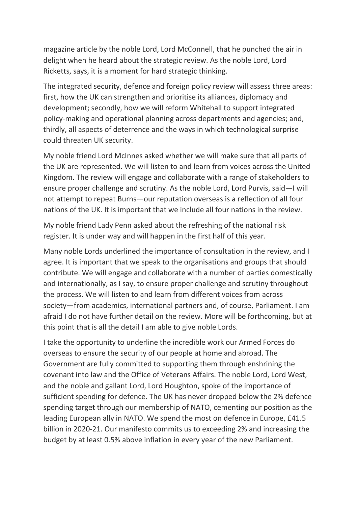magazine article by the noble Lord, Lord McConnell, that he punched the air in delight when he heard about the strategic review. As the noble Lord, Lord Ricketts, says, it is a moment for hard strategic thinking.

The integrated security, defence and foreign policy review will assess three areas: first, how the UK can strengthen and prioritise its alliances, diplomacy and development; secondly, how we will reform Whitehall to support integrated policy-making and operational planning across departments and agencies; and, thirdly, all aspects of deterrence and the ways in which technological surprise could threaten UK security.

My noble friend Lord McInnes asked whether we will make sure that all parts of the UK are represented. We will listen to and learn from voices across the United Kingdom. The review will engage and collaborate with a range of stakeholders to ensure proper challenge and scrutiny. As the noble Lord, Lord Purvis, said—I will not attempt to repeat Burns—our reputation overseas is a reflection of all four nations of the UK. It is important that we include all four nations in the review.

My noble friend Lady Penn asked about the refreshing of the national risk register. It is under way and will happen in the first half of this year.

Many noble Lords underlined the importance of consultation in the review, and I agree. It is important that we speak to the organisations and groups that should contribute. We will engage and collaborate with a number of parties domestically and internationally, as I say, to ensure proper challenge and scrutiny throughout the process. We will listen to and learn from different voices from across society—from academics, international partners and, of course, Parliament. I am afraid I do not have further detail on the review. More will be forthcoming, but at this point that is all the detail I am able to give noble Lords.

I take the opportunity to underline the incredible work our Armed Forces do overseas to ensure the security of our people at home and abroad. The Government are fully committed to supporting them through enshrining the covenant into law and the Office of Veterans Affairs. The noble Lord, Lord West, and the noble and gallant Lord, Lord Houghton, spoke of the importance of sufficient spending for defence. The UK has never dropped below the 2% defence spending target through our membership of NATO, cementing our position as the leading European ally in NATO. We spend the most on defence in Europe, £41.5 billion in 2020-21. Our manifesto commits us to exceeding 2% and increasing the budget by at least 0.5% above inflation in every year of the new Parliament.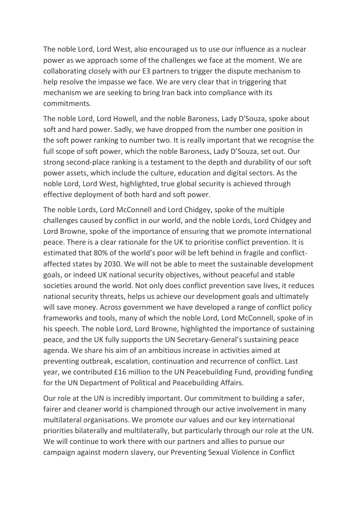The noble Lord, Lord West, also encouraged us to use our influence as a nuclear power as we approach some of the challenges we face at the moment. We are collaborating closely with our E3 partners to trigger the dispute mechanism to help resolve the impasse we face. We are very clear that in triggering that mechanism we are seeking to bring Iran back into compliance with its commitments.

The noble Lord, Lord Howell, and the noble Baroness, Lady D'Souza, spoke about soft and hard power. Sadly, we have dropped from the number one position in the soft power ranking to number two. It is really important that we recognise the full scope of soft power, which the noble Baroness, Lady D'Souza, set out. Our strong second-place ranking is a testament to the depth and durability of our soft power assets, which include the culture, education and digital sectors. As the noble Lord, Lord West, highlighted, true global security is achieved through effective deployment of both hard and soft power.

The noble Lords, Lord McConnell and Lord Chidgey, spoke of the multiple challenges caused by conflict in our world, and the noble Lords, Lord Chidgey and Lord Browne, spoke of the importance of ensuring that we promote international peace. There is a clear rationale for the UK to prioritise conflict prevention. It is estimated that 80% of the world's poor will be left behind in fragile and conflictaffected states by 2030. We will not be able to meet the sustainable development goals, or indeed UK national security objectives, without peaceful and stable societies around the world. Not only does conflict prevention save lives, it reduces national security threats, helps us achieve our development goals and ultimately will save money. Across government we have developed a range of conflict policy frameworks and tools, many of which the noble Lord, Lord McConnell, spoke of in his speech. The noble Lord, Lord Browne, highlighted the importance of sustaining peace, and the UK fully supports the UN Secretary-General's sustaining peace agenda. We share his aim of an ambitious increase in activities aimed at preventing outbreak, escalation, continuation and recurrence of conflict. Last year, we contributed £16 million to the UN Peacebuilding Fund, providing funding for the UN Department of Political and Peacebuilding Affairs.

Our role at the UN is incredibly important. Our commitment to building a safer, fairer and cleaner world is championed through our active involvement in many multilateral organisations. We promote our values and our key international priorities bilaterally and multilaterally, but particularly through our role at the UN. We will continue to work there with our partners and allies to pursue our campaign against modern slavery, our Preventing Sexual Violence in Conflict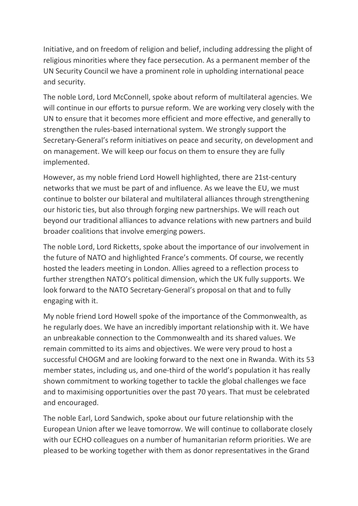Initiative, and on freedom of religion and belief, including addressing the plight of religious minorities where they face persecution. As a permanent member of the UN Security Council we have a prominent role in upholding international peace and security.

The noble Lord, Lord McConnell, spoke about reform of multilateral agencies. We will continue in our efforts to pursue reform. We are working very closely with the UN to ensure that it becomes more efficient and more effective, and generally to strengthen the rules-based international system. We strongly support the Secretary-General's reform initiatives on peace and security, on development and on management. We will keep our focus on them to ensure they are fully implemented.

However, as my noble friend Lord Howell highlighted, there are 21st-century networks that we must be part of and influence. As we leave the EU, we must continue to bolster our bilateral and multilateral alliances through strengthening our historic ties, but also through forging new partnerships. We will reach out beyond our traditional alliances to advance relations with new partners and build broader coalitions that involve emerging powers.

The noble Lord, Lord Ricketts, spoke about the importance of our involvement in the future of NATO and highlighted France's comments. Of course, we recently hosted the leaders meeting in London. Allies agreed to a reflection process to further strengthen NATO's political dimension, which the UK fully supports. We look forward to the NATO Secretary-General's proposal on that and to fully engaging with it.

My noble friend Lord Howell spoke of the importance of the Commonwealth, as he regularly does. We have an incredibly important relationship with it. We have an unbreakable connection to the Commonwealth and its shared values. We remain committed to its aims and objectives. We were very proud to host a successful CHOGM and are looking forward to the next one in Rwanda. With its 53 member states, including us, and one-third of the world's population it has really shown commitment to working together to tackle the global challenges we face and to maximising opportunities over the past 70 years. That must be celebrated and encouraged.

The noble Earl, Lord Sandwich, spoke about our future relationship with the European Union after we leave tomorrow. We will continue to collaborate closely with our ECHO colleagues on a number of humanitarian reform priorities. We are pleased to be working together with them as donor representatives in the Grand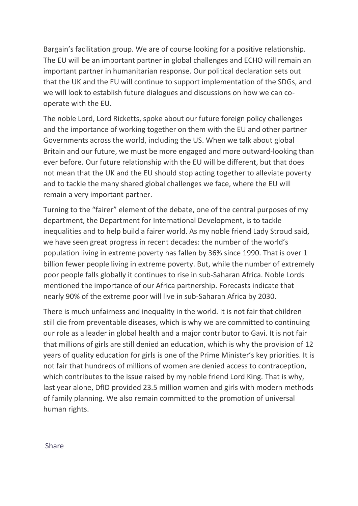Bargain's facilitation group. We are of course looking for a positive relationship. The EU will be an important partner in global challenges and ECHO will remain an important partner in humanitarian response. Our political declaration sets out that the UK and the EU will continue to support implementation of the SDGs, and we will look to establish future dialogues and discussions on how we can cooperate with the EU.

The noble Lord, Lord Ricketts, spoke about our future foreign policy challenges and the importance of working together on them with the EU and other partner Governments across the world, including the US. When we talk about global Britain and our future, we must be more engaged and more outward-looking than ever before. Our future relationship with the EU will be different, but that does not mean that the UK and the EU should stop acting together to alleviate poverty and to tackle the many shared global challenges we face, where the EU will remain a very important partner.

Turning to the "fairer" element of the debate, one of the central purposes of my department, the Department for International Development, is to tackle inequalities and to help build a fairer world. As my noble friend Lady Stroud said, we have seen great progress in recent decades: the number of the world's population living in extreme poverty has fallen by 36% since 1990. That is over 1 billion fewer people living in extreme poverty. But, while the number of extremely poor people falls globally it continues to rise in sub-Saharan Africa. Noble Lords mentioned the importance of our Africa partnership. Forecasts indicate that nearly 90% of the extreme poor will live in sub-Saharan Africa by 2030.

There is much unfairness and inequality in the world. It is not fair that children still die from preventable diseases, which is why we are committed to continuing our role as a leader in global health and a major contributor to Gavi. It is not fair that millions of girls are still denied an education, which is why the provision of 12 years of quality education for girls is one of the Prime Minister's key priorities. It is not fair that hundreds of millions of women are denied access to contraception, which contributes to the issue raised by my noble friend Lord King. That is why, last year alone, DfID provided 23.5 million women and girls with modern methods of family planning. We also remain committed to the promotion of universal human rights.

**Share**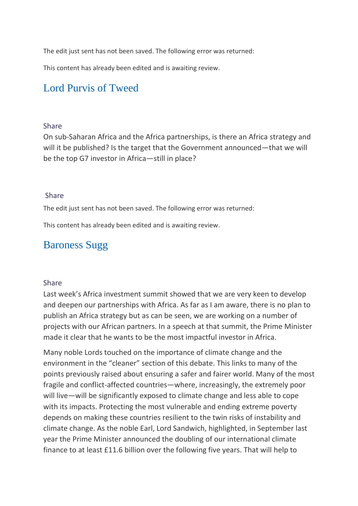The edit just sent has not been saved. The following error was returned:

This content has already been edited and is awaiting review.

### [Lord Purvis of Tweed](https://hansard.parliament.uk/search/MemberContributions?house=Lords&memberId=4293)

#### [Share](https://hansard.parliament.uk/Lords/2020-01-30/debates/F5BAD536-C010-437B-AAF7-14F8D6DA64C7/DefenceDiplomacyAndDevelopmentPolicy#contribution-B80B923E-5853-4B1A-A921-C68D6E4E0B65)

On sub-Saharan Africa and the Africa partnerships, is there an Africa strategy and will it be published? Is the target that the Government announced—that we will be the top G7 investor in Africa—still in place?

#### [Share](https://hansard.parliament.uk/Lords/2020-01-30/debates/F5BAD536-C010-437B-AAF7-14F8D6DA64C7/DefenceDiplomacyAndDevelopmentPolicy#contribution-B80B923E-5853-4B1A-A921-C68D6E4E0B65)

The edit just sent has not been saved. The following error was returned:

This content has already been edited and is awaiting review.

## [Baroness Sugg](https://hansard.parliament.uk/search/MemberContributions?house=Lords&memberId=4584)

#### [Share](https://hansard.parliament.uk/Lords/2020-01-30/debates/F5BAD536-C010-437B-AAF7-14F8D6DA64C7/DefenceDiplomacyAndDevelopmentPolicy#contribution-A89A1658-DD9A-4ED4-9D62-7914655671FB)

Last week's Africa investment summit showed that we are very keen to develop and deepen our partnerships with Africa. As far as I am aware, there is no plan to publish an Africa strategy but as can be seen, we are working on a number of projects with our African partners. In a speech at that summit, the Prime Minister made it clear that he wants to be the most impactful investor in Africa.

Many noble Lords touched on the importance of climate change and the environment in the "cleaner" section of this debate. This links to many of the points previously raised about ensuring a safer and fairer world. Many of the most fragile and conflict-affected countries—where, increasingly, the extremely poor will live—will be significantly exposed to climate change and less able to cope with its impacts. Protecting the most vulnerable and ending extreme poverty depends on making these countries resilient to the twin risks of instability and climate change. As the noble Earl, Lord Sandwich, highlighted, in September last year the Prime Minister announced the doubling of our international climate finance to at least £11.6 billion over the following five years. That will help to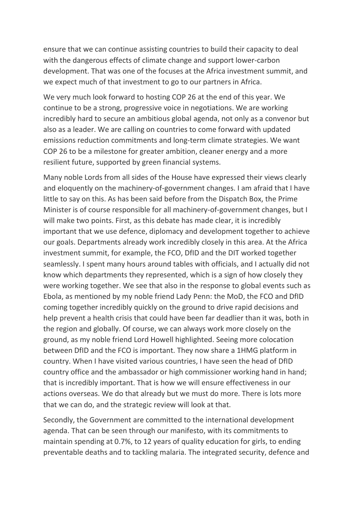ensure that we can continue assisting countries to build their capacity to deal with the dangerous effects of climate change and support lower-carbon development. That was one of the focuses at the Africa investment summit, and we expect much of that investment to go to our partners in Africa.

We very much look forward to hosting COP 26 at the end of this year. We continue to be a strong, progressive voice in negotiations. We are working incredibly hard to secure an ambitious global agenda, not only as a convenor but also as a leader. We are calling on countries to come forward with updated emissions reduction commitments and long-term climate strategies. We want COP 26 to be a milestone for greater ambition, cleaner energy and a more resilient future, supported by green financial systems.

Many noble Lords from all sides of the House have expressed their views clearly and eloquently on the machinery-of-government changes. I am afraid that I have little to say on this. As has been said before from the Dispatch Box, the Prime Minister is of course responsible for all machinery-of-government changes, but I will make two points. First, as this debate has made clear, it is incredibly important that we use defence, diplomacy and development together to achieve our goals. Departments already work incredibly closely in this area. At the Africa investment summit, for example, the FCO, DfID and the DIT worked together seamlessly. I spent many hours around tables with officials, and I actually did not know which departments they represented, which is a sign of how closely they were working together. We see that also in the response to global events such as Ebola, as mentioned by my noble friend Lady Penn: the MoD, the FCO and DfID coming together incredibly quickly on the ground to drive rapid decisions and help prevent a health crisis that could have been far deadlier than it was, both in the region and globally. Of course, we can always work more closely on the ground, as my noble friend Lord Howell highlighted. Seeing more colocation between DfID and the FCO is important. They now share a 1HMG platform in country. When I have visited various countries, I have seen the head of DfID country office and the ambassador or high commissioner working hand in hand; that is incredibly important. That is how we will ensure effectiveness in our actions overseas. We do that already but we must do more. There is lots more that we can do, and the strategic review will look at that.

Secondly, the Government are committed to the international development agenda. That can be seen through our manifesto, with its commitments to maintain spending at 0.7%, to 12 years of quality education for girls, to ending preventable deaths and to tackling malaria. The integrated security, defence and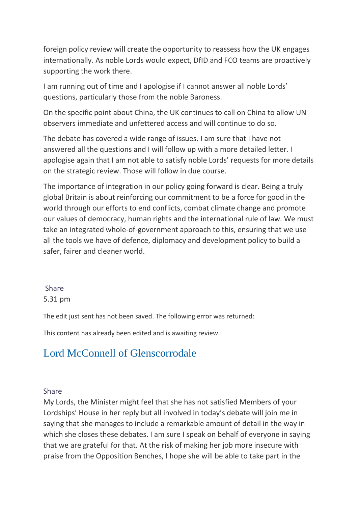foreign policy review will create the opportunity to reassess how the UK engages internationally. As noble Lords would expect, DfID and FCO teams are proactively supporting the work there.

I am running out of time and I apologise if I cannot answer all noble Lords' questions, particularly those from the noble Baroness.

On the specific point about China, the UK continues to call on China to allow UN observers immediate and unfettered access and will continue to do so.

The debate has covered a wide range of issues. I am sure that I have not answered all the questions and I will follow up with a more detailed letter. I apologise again that I am not able to satisfy noble Lords' requests for more details on the strategic review. Those will follow in due course.

The importance of integration in our policy going forward is clear. Being a truly global Britain is about reinforcing our commitment to be a force for good in the world through our efforts to end conflicts, combat climate change and promote our values of democracy, human rights and the international rule of law. We must take an integrated whole-of-government approach to this, ensuring that we use all the tools we have of defence, diplomacy and development policy to build a safer, fairer and cleaner world.

### [Share](https://hansard.parliament.uk/Lords/2020-01-30/debates/F5BAD536-C010-437B-AAF7-14F8D6DA64C7/DefenceDiplomacyAndDevelopmentPolicy#contribution-A89A1658-DD9A-4ED4-9D62-7914655671FB)  5.31 pm

The edit just sent has not been saved. The following error was returned:

This content has already been edited and is awaiting review.

# [Lord McConnell of Glenscorrodale](https://hansard.parliament.uk/search/MemberContributions?house=Lords&memberId=4168)

### [Share](https://hansard.parliament.uk/Lords/2020-01-30/debates/F5BAD536-C010-437B-AAF7-14F8D6DA64C7/DefenceDiplomacyAndDevelopmentPolicy#contribution-7475D1F0-231C-449C-BF56-4529CC2C30EC)

My Lords, the Minister might feel that she has not satisfied Members of your Lordships' House in her reply but all involved in today's debate will join me in saying that she manages to include a remarkable amount of detail in the way in which she closes these debates. I am sure I speak on behalf of everyone in saying that we are grateful for that. At the risk of making her job more insecure with praise from the Opposition Benches, I hope she will be able to take part in the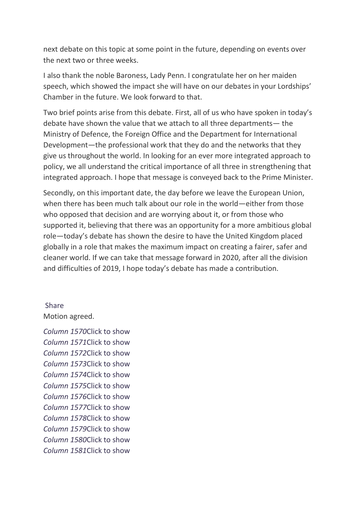next debate on this topic at some point in the future, depending on events over the next two or three weeks.

I also thank the noble Baroness, Lady Penn. I congratulate her on her maiden speech, which showed the impact she will have on our debates in your Lordships' Chamber in the future. We look forward to that.

Two brief points arise from this debate. First, all of us who have spoken in today's debate have shown the value that we attach to all three departments— the Ministry of Defence, the Foreign Office and the Department for International Development—the professional work that they do and the networks that they give us throughout the world. In looking for an ever more integrated approach to policy, we all understand the critical importance of all three in strengthening that integrated approach. I hope that message is conveyed back to the Prime Minister.

Secondly, on this important date, the day before we leave the European Union, when there has been much talk about our role in the world—either from those who opposed that decision and are worrying about it, or from those who supported it, believing that there was an opportunity for a more ambitious global role—today's debate has shown the desire to have the United Kingdom placed globally in a role that makes the maximum impact on creating a fairer, safer and cleaner world. If we can take that message forward in 2020, after all the division and difficulties of 2019, I hope today's debate has made a contribution.

#### [Share](https://hansard.parliament.uk/Lords/2020-01-30/debates/F5BAD536-C010-437B-AAF7-14F8D6DA64C7/DefenceDiplomacyAndDevelopmentPolicy#contribution-7475D1F0-231C-449C-BF56-4529CC2C30EC)

Motion agreed.

*Column 1570*Click to show *Column 1571*Click to show *Column 1572*Click to show *Column 1573*Click to show *Column 1574*Click to show *Column 1575*Click to show *Column 1576*Click to show *Column 1577*Click to show *Column 1578*Click to show *Column 1579*Click to show *Column 1580*Click to show *Column 1581*Click to show